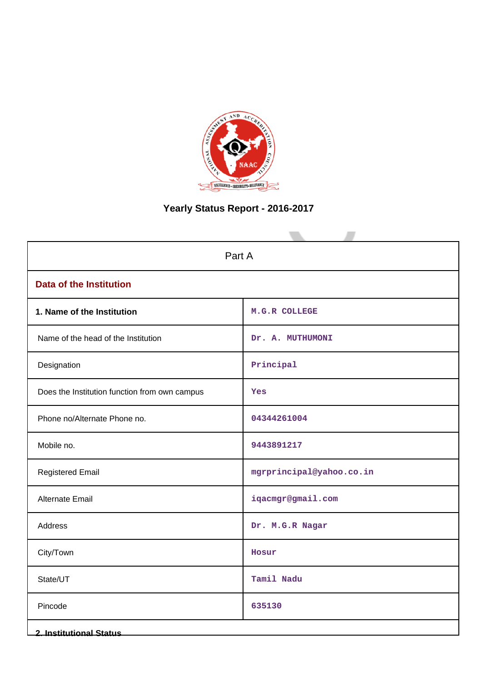

# **Yearly Status Report - 2016-2017**

| Part A                                        |                          |  |  |  |
|-----------------------------------------------|--------------------------|--|--|--|
| <b>Data of the Institution</b>                |                          |  |  |  |
| 1. Name of the Institution                    | M.G.R COLLEGE            |  |  |  |
| Name of the head of the Institution           | Dr. A. MUTHUMONI         |  |  |  |
| Designation                                   | Principal                |  |  |  |
| Does the Institution function from own campus | Yes                      |  |  |  |
| Phone no/Alternate Phone no.                  | 04344261004              |  |  |  |
| Mobile no.                                    | 9443891217               |  |  |  |
| <b>Registered Email</b>                       | mgrprincipal@yahoo.co.in |  |  |  |
| Alternate Email                               | iqacmgr@gmail.com        |  |  |  |
| Address                                       | Dr. M.G.R Nagar          |  |  |  |
| City/Town                                     | Hosur                    |  |  |  |
| State/UT                                      | Tamil Nadu               |  |  |  |
| Pincode                                       | 635130                   |  |  |  |
| <b>2. Institutional Status</b>                |                          |  |  |  |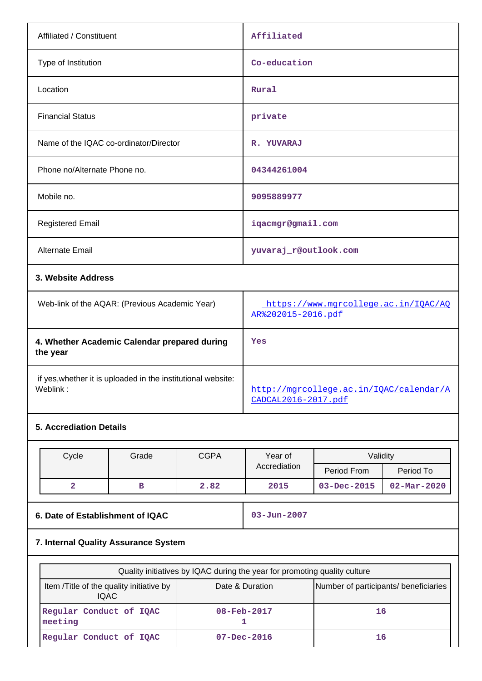| Affiliated / Constituent                                                 | Affiliated                                                     |  |  |
|--------------------------------------------------------------------------|----------------------------------------------------------------|--|--|
| Type of Institution                                                      | Co-education                                                   |  |  |
| Location                                                                 | Rural                                                          |  |  |
| <b>Financial Status</b>                                                  | private                                                        |  |  |
| Name of the IQAC co-ordinator/Director                                   | R. YUVARAJ                                                     |  |  |
| Phone no/Alternate Phone no.                                             | 04344261004                                                    |  |  |
| Mobile no.                                                               | 9095889977                                                     |  |  |
| <b>Registered Email</b>                                                  | iqacmgr@gmail.com                                              |  |  |
| <b>Alternate Email</b>                                                   | yuvaraj_r@outlook.com                                          |  |  |
| 3. Website Address                                                       |                                                                |  |  |
| Web-link of the AQAR: (Previous Academic Year)                           | https://www.mgrcollege.ac.in/IQAC/AQ<br>AR%202015-2016.pdf     |  |  |
| 4. Whether Academic Calendar prepared during<br>the year                 | Yes                                                            |  |  |
| if yes, whether it is uploaded in the institutional website:<br>Weblink: | http://mgrcollege.ac.in/IQAC/calendar/A<br>CADCAL2016-2017.pdf |  |  |

# **5. Accrediation Details**

| Cycle | Grade | <b>CGPA</b> | Year of      | Validity          |                          |
|-------|-------|-------------|--------------|-------------------|--------------------------|
|       |       |             | Accrediation | Period From       | Period To                |
|       |       | 2.82        | 2015         | $03 - Dec - 2015$ | $02 - \text{Mar} - 2020$ |

**6. Date of Establishment of IQAC 03-Jun-2007** 

# **7. Internal Quality Assurance System**

| Quality initiatives by IQAC during the year for promoting quality culture |                                       |    |  |  |  |
|---------------------------------------------------------------------------|---------------------------------------|----|--|--|--|
| Item / Title of the quality initiative by<br>IQAC.                        | Number of participants/ beneficiaries |    |  |  |  |
| Regular Conduct of IQAC<br>meeting                                        | $08 - \text{Feb} - 2017$              | 16 |  |  |  |
| Regular Conduct of IQAC                                                   | $07 - Dec - 2016$                     | 16 |  |  |  |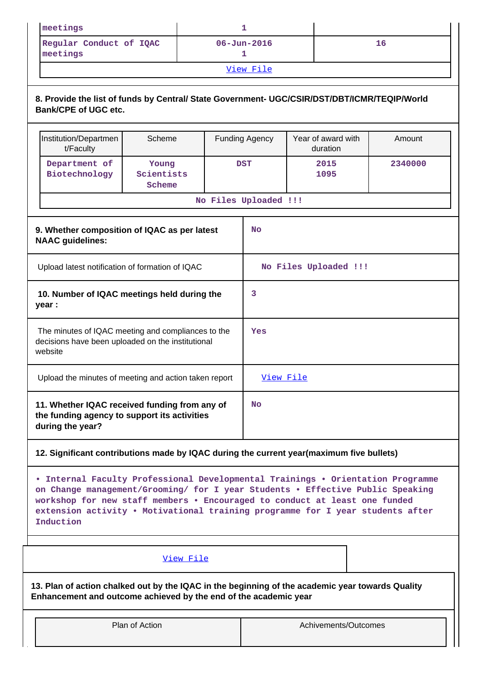| meetings                            |                   |    |  |  |
|-------------------------------------|-------------------|----|--|--|
| Regular Conduct of IQAC<br>meetings | $06 - Jun - 2016$ | 16 |  |  |
| View File                           |                   |    |  |  |

# **8. Provide the list of funds by Central/ State Government- UGC/CSIR/DST/DBT/ICMR/TEQIP/World Bank/CPE of UGC etc.**

|                                                                         | Institution/Departmen<br>t/Faculty                                                                                 | Scheme                        | <b>Funding Agency</b> |                | Year of award with<br>duration | Amount  |
|-------------------------------------------------------------------------|--------------------------------------------------------------------------------------------------------------------|-------------------------------|-----------------------|----------------|--------------------------------|---------|
|                                                                         | Department of<br>Biotechnology                                                                                     | Young<br>Scientists<br>Scheme | <b>DST</b>            |                | 2015<br>1095                   | 2340000 |
|                                                                         |                                                                                                                    |                               | No Files Uploaded !!! |                |                                |         |
| 9. Whether composition of IQAC as per latest<br><b>NAAC</b> guidelines: |                                                                                                                    |                               | <b>No</b>             |                |                                |         |
|                                                                         | Upload latest notification of formation of IQAC                                                                    |                               | No Files Uploaded !!! |                |                                |         |
|                                                                         | 10. Number of IQAC meetings held during the<br>year :                                                              |                               | 3                     |                |                                |         |
|                                                                         | The minutes of IQAC meeting and compliances to the<br>decisions have been uploaded on the institutional<br>website |                               |                       | Yes            |                                |         |
|                                                                         | Upload the minutes of meeting and action taken report                                                              |                               |                       | View File      |                                |         |
|                                                                         | 11. Whether IQAC received funding from any of<br>the funding agency to support its activities<br>during the year?  |                               |                       | N <sub>O</sub> |                                |         |

## **12. Significant contributions made by IQAC during the current year(maximum five bullets)**

**• Internal Faculty Professional Developmental Trainings • Orientation Programme on Change management/Grooming/ for I year Students • Effective Public Speaking workshop for new staff members • Encouraged to conduct at least one funded extension activity • Motivational training programme for I year students after Induction**

## [View File](https://assessmentonline.naac.gov.in/public/Postacc/Contribution/5048_Contribution.xlsx)

**13. Plan of action chalked out by the IQAC in the beginning of the academic year towards Quality Enhancement and outcome achieved by the end of the academic year**

Plan of Action and Achivements/Outcomes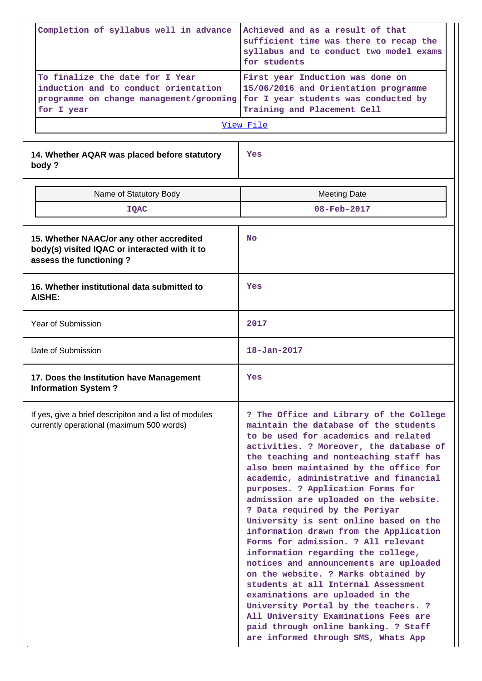|                                                                                                     | Completion of syllabus well in advance                                                                                           | Achieved and as a result of that<br>sufficient time was there to recap the<br>syllabus and to conduct two model exams<br>for students                                                                                                                                                                                                                                                                                                                                                                                                                                                                                                                                                                                                                                                                                                                                                                          |  |  |  |
|-----------------------------------------------------------------------------------------------------|----------------------------------------------------------------------------------------------------------------------------------|----------------------------------------------------------------------------------------------------------------------------------------------------------------------------------------------------------------------------------------------------------------------------------------------------------------------------------------------------------------------------------------------------------------------------------------------------------------------------------------------------------------------------------------------------------------------------------------------------------------------------------------------------------------------------------------------------------------------------------------------------------------------------------------------------------------------------------------------------------------------------------------------------------------|--|--|--|
|                                                                                                     | To finalize the date for I Year<br>induction and to conduct orientation<br>programme on change management/grooming<br>for I year | First year Induction was done on<br>15/06/2016 and Orientation programme<br>for I year students was conducted by<br>Training and Placement Cell                                                                                                                                                                                                                                                                                                                                                                                                                                                                                                                                                                                                                                                                                                                                                                |  |  |  |
|                                                                                                     |                                                                                                                                  | View File                                                                                                                                                                                                                                                                                                                                                                                                                                                                                                                                                                                                                                                                                                                                                                                                                                                                                                      |  |  |  |
|                                                                                                     | 14. Whether AQAR was placed before statutory<br>body?                                                                            | Yes                                                                                                                                                                                                                                                                                                                                                                                                                                                                                                                                                                                                                                                                                                                                                                                                                                                                                                            |  |  |  |
|                                                                                                     | Name of Statutory Body                                                                                                           | <b>Meeting Date</b>                                                                                                                                                                                                                                                                                                                                                                                                                                                                                                                                                                                                                                                                                                                                                                                                                                                                                            |  |  |  |
|                                                                                                     | <b>IQAC</b>                                                                                                                      | 08-Feb-2017                                                                                                                                                                                                                                                                                                                                                                                                                                                                                                                                                                                                                                                                                                                                                                                                                                                                                                    |  |  |  |
|                                                                                                     | 15. Whether NAAC/or any other accredited<br>body(s) visited IQAC or interacted with it to<br>assess the functioning?             | <b>No</b>                                                                                                                                                                                                                                                                                                                                                                                                                                                                                                                                                                                                                                                                                                                                                                                                                                                                                                      |  |  |  |
|                                                                                                     | 16. Whether institutional data submitted to<br><b>AISHE:</b>                                                                     | Yes                                                                                                                                                                                                                                                                                                                                                                                                                                                                                                                                                                                                                                                                                                                                                                                                                                                                                                            |  |  |  |
| Year of Submission                                                                                  |                                                                                                                                  | 2017                                                                                                                                                                                                                                                                                                                                                                                                                                                                                                                                                                                                                                                                                                                                                                                                                                                                                                           |  |  |  |
| Date of Submission                                                                                  |                                                                                                                                  | $18 - Jan - 2017$                                                                                                                                                                                                                                                                                                                                                                                                                                                                                                                                                                                                                                                                                                                                                                                                                                                                                              |  |  |  |
|                                                                                                     | 17. Does the Institution have Management<br><b>Information System?</b>                                                           | Yes                                                                                                                                                                                                                                                                                                                                                                                                                                                                                                                                                                                                                                                                                                                                                                                                                                                                                                            |  |  |  |
| If yes, give a brief descripiton and a list of modules<br>currently operational (maximum 500 words) |                                                                                                                                  | ? The Office and Library of the College<br>maintain the database of the students<br>to be used for academics and related<br>activities. ? Moreover, the database of<br>the teaching and nonteaching staff has<br>also been maintained by the office for<br>academic, administrative and financial<br>purposes. ? Application Forms for<br>admission are uploaded on the website.<br>? Data required by the Periyar<br>University is sent online based on the<br>information drawn from the Application<br>Forms for admission. ? All relevant<br>information regarding the college,<br>notices and announcements are uploaded<br>on the website. ? Marks obtained by<br>students at all Internal Assessment<br>examinations are uploaded in the<br>University Portal by the teachers. ?<br>All University Examinations Fees are<br>paid through online banking. ? Staff<br>are informed through SMS, Whats App |  |  |  |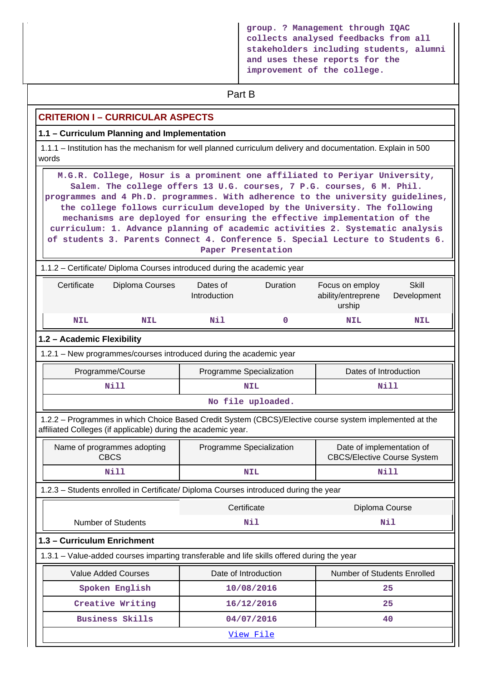**group. ? Management through IQAC collects analysed feedbacks from all stakeholders including students, alumni and uses these reports for the improvement of the college.**

# **Part B**

## **CRITERION I – CURRICULAR ASPECTS**

### **1.1 – Curriculum Planning and Implementation**

 1.1.1 – Institution has the mechanism for well planned curriculum delivery and documentation. Explain in 500 words

 **M.G.R. College, Hosur is a prominent one affiliated to Periyar University, Salem. The college offers 13 U.G. courses, 7 P.G. courses, 6 M. Phil. programmes and 4 Ph.D. programmes. With adherence to the university guidelines, the college follows curriculum developed by the University. The following mechanisms are deployed for ensuring the effective implementation of the curriculum: 1. Advance planning of academic activities 2. Systematic analysis of students 3. Parents Connect 4. Conference 5. Special Lecture to Students 6. Paper Presentation**

1.1.2 – Certificate/ Diploma Courses introduced during the academic year

| Certificate | Diploma Courses<br>Dates of<br>Introduction |     | <b>Duration</b> | Focus on employ<br>ability/entreprene<br>urship | Skill<br>Development |
|-------------|---------------------------------------------|-----|-----------------|-------------------------------------------------|----------------------|
| <b>NIL</b>  | NIL                                         | Nil |                 | <b>NIL</b>                                      | <b>NIL</b>           |

#### **1.2 – Academic Flexibility**

1.2.1 – New programmes/courses introduced during the academic year

| Programme/Course   | Programme Specialization |      |  |  |
|--------------------|--------------------------|------|--|--|
| Nill<br><b>NIL</b> |                          | Nill |  |  |
| No file uploaded.  |                          |      |  |  |

 1.2.2 – Programmes in which Choice Based Credit System (CBCS)/Elective course system implemented at the affiliated Colleges (if applicable) during the academic year.

| Name of programmes adopting<br><b>CBCS</b> | Programme Specialization | Date of implementation of<br><b>CBCS/Elective Course System</b> |
|--------------------------------------------|--------------------------|-----------------------------------------------------------------|
| Nill                                       | <b>NIL</b>               | Nill                                                            |

1.2.3 – Students enrolled in Certificate/ Diploma Courses introduced during the year

|                                                                                            | Certificate          | Diploma Course              |  |  |
|--------------------------------------------------------------------------------------------|----------------------|-----------------------------|--|--|
| Number of Students                                                                         | Nil                  | Nil                         |  |  |
| 1.3 - Curriculum Enrichment                                                                |                      |                             |  |  |
| 1.3.1 - Value-added courses imparting transferable and life skills offered during the year |                      |                             |  |  |
| <b>Value Added Courses</b>                                                                 | Date of Introduction | Number of Students Enrolled |  |  |
| Spoken English                                                                             | 10/08/2016           | 25                          |  |  |
| Creative Writing                                                                           | 16/12/2016           | 25                          |  |  |
| <b>Business Skills</b>                                                                     | 04/07/2016           | 40                          |  |  |
| View File                                                                                  |                      |                             |  |  |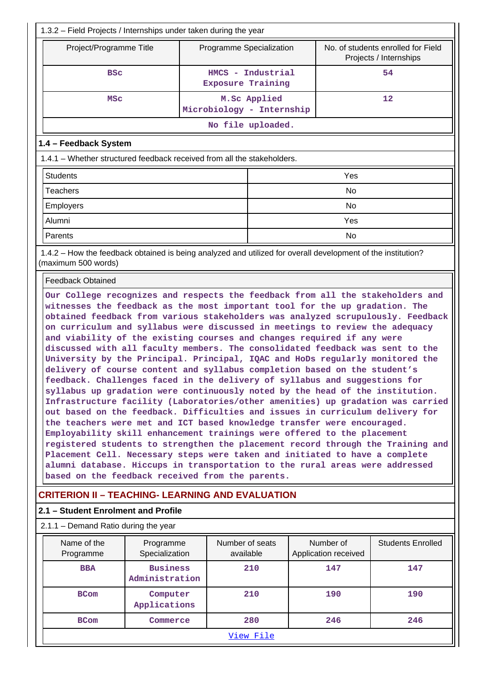|                                                                                                                                                                                                                                                                                                                                                                                                                                                                                                                                                                                                                                                                                                                                                                                                                                                                                                                                                                                                                                                                                                                                                                                                                                                                                                                                                                        | 1.3.2 - Field Projects / Internships under taken during the year |                                               |                   |  |                                   |                                                              |  |    |
|------------------------------------------------------------------------------------------------------------------------------------------------------------------------------------------------------------------------------------------------------------------------------------------------------------------------------------------------------------------------------------------------------------------------------------------------------------------------------------------------------------------------------------------------------------------------------------------------------------------------------------------------------------------------------------------------------------------------------------------------------------------------------------------------------------------------------------------------------------------------------------------------------------------------------------------------------------------------------------------------------------------------------------------------------------------------------------------------------------------------------------------------------------------------------------------------------------------------------------------------------------------------------------------------------------------------------------------------------------------------|------------------------------------------------------------------|-----------------------------------------------|-------------------|--|-----------------------------------|--------------------------------------------------------------|--|----|
| Project/Programme Title                                                                                                                                                                                                                                                                                                                                                                                                                                                                                                                                                                                                                                                                                                                                                                                                                                                                                                                                                                                                                                                                                                                                                                                                                                                                                                                                                |                                                                  | Programme Specialization                      |                   |  |                                   | No. of students enrolled for Field<br>Projects / Internships |  |    |
| <b>BSC</b>                                                                                                                                                                                                                                                                                                                                                                                                                                                                                                                                                                                                                                                                                                                                                                                                                                                                                                                                                                                                                                                                                                                                                                                                                                                                                                                                                             |                                                                  | HMCS - Industrial<br><b>Exposure Training</b> |                   |  |                                   |                                                              |  | 54 |
| <b>MSC</b>                                                                                                                                                                                                                                                                                                                                                                                                                                                                                                                                                                                                                                                                                                                                                                                                                                                                                                                                                                                                                                                                                                                                                                                                                                                                                                                                                             |                                                                  | Microbiology - Internship                     | M.Sc Applied      |  |                                   | 12                                                           |  |    |
|                                                                                                                                                                                                                                                                                                                                                                                                                                                                                                                                                                                                                                                                                                                                                                                                                                                                                                                                                                                                                                                                                                                                                                                                                                                                                                                                                                        |                                                                  |                                               | No file uploaded. |  |                                   |                                                              |  |    |
| 1.4 - Feedback System                                                                                                                                                                                                                                                                                                                                                                                                                                                                                                                                                                                                                                                                                                                                                                                                                                                                                                                                                                                                                                                                                                                                                                                                                                                                                                                                                  |                                                                  |                                               |                   |  |                                   |                                                              |  |    |
| 1.4.1 – Whether structured feedback received from all the stakeholders.                                                                                                                                                                                                                                                                                                                                                                                                                                                                                                                                                                                                                                                                                                                                                                                                                                                                                                                                                                                                                                                                                                                                                                                                                                                                                                |                                                                  |                                               |                   |  |                                   |                                                              |  |    |
| <b>Students</b>                                                                                                                                                                                                                                                                                                                                                                                                                                                                                                                                                                                                                                                                                                                                                                                                                                                                                                                                                                                                                                                                                                                                                                                                                                                                                                                                                        |                                                                  |                                               |                   |  | Yes                               |                                                              |  |    |
| <b>Teachers</b>                                                                                                                                                                                                                                                                                                                                                                                                                                                                                                                                                                                                                                                                                                                                                                                                                                                                                                                                                                                                                                                                                                                                                                                                                                                                                                                                                        |                                                                  |                                               |                   |  | No                                |                                                              |  |    |
| <b>Employers</b>                                                                                                                                                                                                                                                                                                                                                                                                                                                                                                                                                                                                                                                                                                                                                                                                                                                                                                                                                                                                                                                                                                                                                                                                                                                                                                                                                       |                                                                  |                                               |                   |  | No                                |                                                              |  |    |
| Alumni                                                                                                                                                                                                                                                                                                                                                                                                                                                                                                                                                                                                                                                                                                                                                                                                                                                                                                                                                                                                                                                                                                                                                                                                                                                                                                                                                                 |                                                                  |                                               |                   |  | Yes                               |                                                              |  |    |
| Parents                                                                                                                                                                                                                                                                                                                                                                                                                                                                                                                                                                                                                                                                                                                                                                                                                                                                                                                                                                                                                                                                                                                                                                                                                                                                                                                                                                |                                                                  |                                               |                   |  | No                                |                                                              |  |    |
| 1.4.2 - How the feedback obtained is being analyzed and utilized for overall development of the institution?<br>(maximum 500 words)                                                                                                                                                                                                                                                                                                                                                                                                                                                                                                                                                                                                                                                                                                                                                                                                                                                                                                                                                                                                                                                                                                                                                                                                                                    |                                                                  |                                               |                   |  |                                   |                                                              |  |    |
| <b>Feedback Obtained</b>                                                                                                                                                                                                                                                                                                                                                                                                                                                                                                                                                                                                                                                                                                                                                                                                                                                                                                                                                                                                                                                                                                                                                                                                                                                                                                                                               |                                                                  |                                               |                   |  |                                   |                                                              |  |    |
| witnesses the feedback as the most important tool for the up gradation. The<br>obtained feedback from various stakeholders was analyzed scrupulously. Feedback<br>on curriculum and syllabus were discussed in meetings to review the adequacy<br>and viability of the existing courses and changes required if any were<br>discussed with all faculty members. The consolidated feedback was sent to the<br>University by the Principal. Principal, IQAC and HoDs regularly monitored the<br>delivery of course content and syllabus completion based on the student's<br>feedback. Challenges faced in the delivery of syllabus and suggestions for<br>syllabus up gradation were continuously noted by the head of the institution.<br>Infrastructure facility (Laboratories/other amenities) up gradation was carried<br>out based on the feedback. Difficulties and issues in curriculum delivery for<br>the teachers were met and ICT based knowledge transfer were encouraged.<br>Employability skill enhancement trainings were offered to the placement<br>registered students to strengthen the placement record through the Training and<br>Placement Cell. Necessary steps were taken and initiated to have a complete<br>alumni database. Hiccups in transportation to the rural areas were addressed<br>based on the feedback received from the parents. |                                                                  |                                               |                   |  |                                   |                                                              |  |    |
| <b>CRITERION II - TEACHING- LEARNING AND EVALUATION</b>                                                                                                                                                                                                                                                                                                                                                                                                                                                                                                                                                                                                                                                                                                                                                                                                                                                                                                                                                                                                                                                                                                                                                                                                                                                                                                                |                                                                  |                                               |                   |  |                                   |                                                              |  |    |
| 2.1 - Student Enrolment and Profile                                                                                                                                                                                                                                                                                                                                                                                                                                                                                                                                                                                                                                                                                                                                                                                                                                                                                                                                                                                                                                                                                                                                                                                                                                                                                                                                    |                                                                  |                                               |                   |  |                                   |                                                              |  |    |
| 2.1.1 - Demand Ratio during the year                                                                                                                                                                                                                                                                                                                                                                                                                                                                                                                                                                                                                                                                                                                                                                                                                                                                                                                                                                                                                                                                                                                                                                                                                                                                                                                                   |                                                                  |                                               |                   |  |                                   |                                                              |  |    |
| Name of the<br>Programme                                                                                                                                                                                                                                                                                                                                                                                                                                                                                                                                                                                                                                                                                                                                                                                                                                                                                                                                                                                                                                                                                                                                                                                                                                                                                                                                               | Programme<br>Specialization                                      | Number of seats<br>available                  |                   |  | Number of<br>Application received | <b>Students Enrolled</b>                                     |  |    |
| <b>BBA</b>                                                                                                                                                                                                                                                                                                                                                                                                                                                                                                                                                                                                                                                                                                                                                                                                                                                                                                                                                                                                                                                                                                                                                                                                                                                                                                                                                             | <b>Business</b><br>Administration                                |                                               | 210               |  | 147                               | 147                                                          |  |    |
| <b>BCom</b>                                                                                                                                                                                                                                                                                                                                                                                                                                                                                                                                                                                                                                                                                                                                                                                                                                                                                                                                                                                                                                                                                                                                                                                                                                                                                                                                                            | Computer<br>Applications                                         |                                               | 210               |  | 190                               | 190                                                          |  |    |
| <b>BCom</b>                                                                                                                                                                                                                                                                                                                                                                                                                                                                                                                                                                                                                                                                                                                                                                                                                                                                                                                                                                                                                                                                                                                                                                                                                                                                                                                                                            | Commerce                                                         |                                               | 280               |  | 246                               | 246                                                          |  |    |
|                                                                                                                                                                                                                                                                                                                                                                                                                                                                                                                                                                                                                                                                                                                                                                                                                                                                                                                                                                                                                                                                                                                                                                                                                                                                                                                                                                        |                                                                  |                                               | View File         |  |                                   |                                                              |  |    |
|                                                                                                                                                                                                                                                                                                                                                                                                                                                                                                                                                                                                                                                                                                                                                                                                                                                                                                                                                                                                                                                                                                                                                                                                                                                                                                                                                                        |                                                                  |                                               |                   |  |                                   |                                                              |  |    |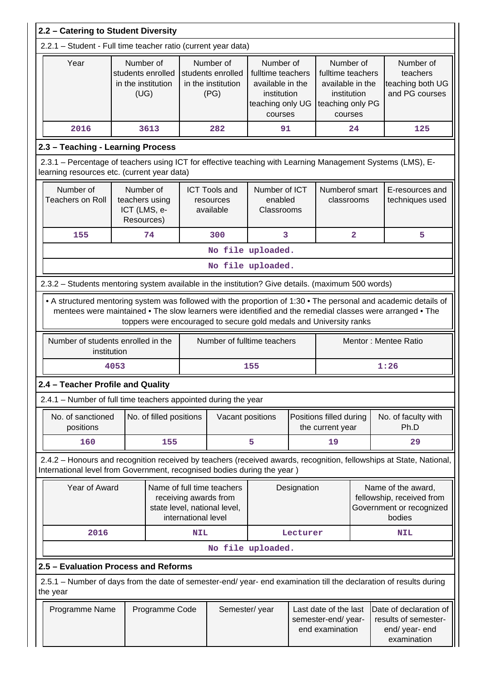|                                                                                                                                                                                                                                                                                                   | 2.2 - Catering to Student Diversity |                                                              |                     |                                                                                     |                                                                                                  |             |                                                                                                  |                     |                                                                                                                     |  |
|---------------------------------------------------------------------------------------------------------------------------------------------------------------------------------------------------------------------------------------------------------------------------------------------------|-------------------------------------|--------------------------------------------------------------|---------------------|-------------------------------------------------------------------------------------|--------------------------------------------------------------------------------------------------|-------------|--------------------------------------------------------------------------------------------------|---------------------|---------------------------------------------------------------------------------------------------------------------|--|
| 2.2.1 - Student - Full time teacher ratio (current year data)                                                                                                                                                                                                                                     |                                     |                                                              |                     |                                                                                     |                                                                                                  |             |                                                                                                  |                     |                                                                                                                     |  |
| Year                                                                                                                                                                                                                                                                                              |                                     | Number of<br>students enrolled<br>in the institution<br>(UG) |                     | Number of<br>students enrolled<br>in the institution<br>(PG)                        | Number of<br>fulltime teachers<br>available in the<br>institution<br>teaching only UG<br>courses |             | Number of<br>fulltime teachers<br>available in the<br>institution<br>teaching only PG<br>courses |                     | Number of<br>teachers<br>teaching both UG<br>and PG courses                                                         |  |
| 2016                                                                                                                                                                                                                                                                                              |                                     | 3613                                                         |                     | 282                                                                                 | 91                                                                                               |             |                                                                                                  | 24                  | 125                                                                                                                 |  |
| 2.3 - Teaching - Learning Process                                                                                                                                                                                                                                                                 |                                     |                                                              |                     |                                                                                     |                                                                                                  |             |                                                                                                  |                     |                                                                                                                     |  |
| 2.3.1 – Percentage of teachers using ICT for effective teaching with Learning Management Systems (LMS), E-<br>learning resources etc. (current year data)                                                                                                                                         |                                     |                                                              |                     |                                                                                     |                                                                                                  |             |                                                                                                  |                     |                                                                                                                     |  |
| Number of<br><b>Teachers on Roll</b>                                                                                                                                                                                                                                                              |                                     | Number of<br>teachers using<br>ICT (LMS, e-<br>Resources)    |                     | <b>ICT Tools and</b><br>resources<br>available                                      | Number of ICT<br>enabled<br>Classrooms                                                           |             | Numberof smart<br>classrooms                                                                     |                     | E-resources and<br>techniques used                                                                                  |  |
| 155                                                                                                                                                                                                                                                                                               |                                     | 74                                                           |                     | 300                                                                                 | 3                                                                                                |             |                                                                                                  | $\overline{2}$<br>5 |                                                                                                                     |  |
| No file uploaded.                                                                                                                                                                                                                                                                                 |                                     |                                                              |                     |                                                                                     |                                                                                                  |             |                                                                                                  |                     |                                                                                                                     |  |
| No file uploaded.                                                                                                                                                                                                                                                                                 |                                     |                                                              |                     |                                                                                     |                                                                                                  |             |                                                                                                  |                     |                                                                                                                     |  |
| 2.3.2 - Students mentoring system available in the institution? Give details. (maximum 500 words)                                                                                                                                                                                                 |                                     |                                                              |                     |                                                                                     |                                                                                                  |             |                                                                                                  |                     |                                                                                                                     |  |
| • A structured mentoring system was followed with the proportion of 1:30 • The personal and academic details of<br>mentees were maintained • The slow learners were identified and the remedial classes were arranged • The<br>toppers were encouraged to secure gold medals and University ranks |                                     |                                                              |                     |                                                                                     |                                                                                                  |             |                                                                                                  |                     |                                                                                                                     |  |
| Number of students enrolled in the                                                                                                                                                                                                                                                                | institution                         |                                                              |                     | Number of fulltime teachers                                                         |                                                                                                  |             |                                                                                                  |                     | Mentor: Mentee Ratio                                                                                                |  |
|                                                                                                                                                                                                                                                                                                   | 4053                                |                                                              |                     |                                                                                     | 155                                                                                              |             |                                                                                                  |                     | 1:26                                                                                                                |  |
| 2.4 – Teacher Profile and Quality                                                                                                                                                                                                                                                                 |                                     |                                                              |                     |                                                                                     |                                                                                                  |             |                                                                                                  |                     |                                                                                                                     |  |
| 2.4.1 - Number of full time teachers appointed during the year                                                                                                                                                                                                                                    |                                     |                                                              |                     |                                                                                     |                                                                                                  |             |                                                                                                  |                     |                                                                                                                     |  |
| No. of sanctioned<br>positions                                                                                                                                                                                                                                                                    |                                     | No. of filled positions                                      |                     | Vacant positions                                                                    |                                                                                                  |             | Positions filled during<br>the current year                                                      |                     | No. of faculty with<br>Ph.D                                                                                         |  |
| 160                                                                                                                                                                                                                                                                                               |                                     | 155                                                          |                     |                                                                                     | 5                                                                                                |             | 19                                                                                               |                     | 29                                                                                                                  |  |
| International level from Government, recognised bodies during the year)                                                                                                                                                                                                                           |                                     |                                                              |                     |                                                                                     |                                                                                                  |             |                                                                                                  |                     | 2.4.2 - Honours and recognition received by teachers (received awards, recognition, fellowships at State, National, |  |
|                                                                                                                                                                                                                                                                                                   | Year of Award                       |                                                              | international level | Name of full time teachers<br>receiving awards from<br>state level, national level, |                                                                                                  | Designation |                                                                                                  |                     | Name of the award,<br>fellowship, received from<br>Government or recognized<br>bodies                               |  |
| 2016                                                                                                                                                                                                                                                                                              |                                     |                                                              | <b>NIL</b>          |                                                                                     |                                                                                                  | Lecturer    |                                                                                                  |                     | <b>NIL</b>                                                                                                          |  |
|                                                                                                                                                                                                                                                                                                   |                                     |                                                              |                     |                                                                                     | No file uploaded.                                                                                |             |                                                                                                  |                     |                                                                                                                     |  |
| 2.5 - Evaluation Process and Reforms                                                                                                                                                                                                                                                              |                                     |                                                              |                     |                                                                                     |                                                                                                  |             |                                                                                                  |                     |                                                                                                                     |  |
| the year                                                                                                                                                                                                                                                                                          |                                     |                                                              |                     |                                                                                     |                                                                                                  |             |                                                                                                  |                     | 2.5.1 – Number of days from the date of semester-end/ year- end examination till the declaration of results during  |  |
| Programme Name                                                                                                                                                                                                                                                                                    |                                     | Programme Code                                               |                     | Semester/year                                                                       |                                                                                                  |             | Last date of the last<br>semester-end/year-<br>end examination                                   |                     | Date of declaration of<br>results of semester-<br>end/ year- end<br>examination                                     |  |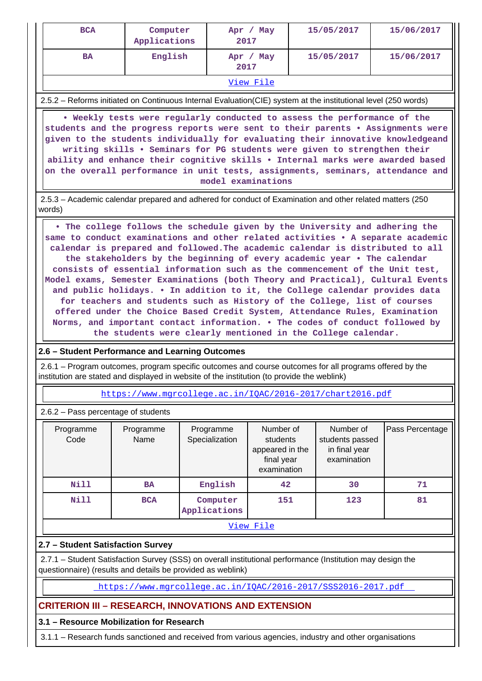| <b>BCA</b>                                                                                                                                                                                                                                                                                                                                                                                                                                                                                                                                                                                                                                                                                                                                                                                                                                                                                 | Computer<br>Applications |                             | Apr / May<br>2017                                                     |  | 15/05/2017                                                   | 15/06/2017      |  |  |  |
|--------------------------------------------------------------------------------------------------------------------------------------------------------------------------------------------------------------------------------------------------------------------------------------------------------------------------------------------------------------------------------------------------------------------------------------------------------------------------------------------------------------------------------------------------------------------------------------------------------------------------------------------------------------------------------------------------------------------------------------------------------------------------------------------------------------------------------------------------------------------------------------------|--------------------------|-----------------------------|-----------------------------------------------------------------------|--|--------------------------------------------------------------|-----------------|--|--|--|
| <b>BA</b>                                                                                                                                                                                                                                                                                                                                                                                                                                                                                                                                                                                                                                                                                                                                                                                                                                                                                  | English                  |                             | Apr / May<br>2017                                                     |  | 15/05/2017                                                   | 15/06/2017      |  |  |  |
|                                                                                                                                                                                                                                                                                                                                                                                                                                                                                                                                                                                                                                                                                                                                                                                                                                                                                            |                          |                             | View File                                                             |  |                                                              |                 |  |  |  |
| 2.5.2 – Reforms initiated on Continuous Internal Evaluation (CIE) system at the institutional level (250 words)                                                                                                                                                                                                                                                                                                                                                                                                                                                                                                                                                                                                                                                                                                                                                                            |                          |                             |                                                                       |  |                                                              |                 |  |  |  |
| . Weekly tests were regularly conducted to assess the performance of the<br>students and the progress reports were sent to their parents . Assignments were<br>given to the students individually for evaluating their innovative knowledgeand<br>writing skills . Seminars for PG students were given to strengthen their<br>ability and enhance their cognitive skills . Internal marks were awarded based<br>on the overall performance in unit tests, assignments, seminars, attendance and<br>model examinations                                                                                                                                                                                                                                                                                                                                                                      |                          |                             |                                                                       |  |                                                              |                 |  |  |  |
| 2.5.3 - Academic calendar prepared and adhered for conduct of Examination and other related matters (250<br>words)                                                                                                                                                                                                                                                                                                                                                                                                                                                                                                                                                                                                                                                                                                                                                                         |                          |                             |                                                                       |  |                                                              |                 |  |  |  |
| . The college follows the schedule given by the University and adhering the<br>same to conduct examinations and other related activities . A separate academic<br>calendar is prepared and followed. The academic calendar is distributed to all<br>the stakeholders by the beginning of every academic year . The calendar<br>consists of essential information such as the commencement of the Unit test,<br>Model exams, Semester Examinations (both Theory and Practical), Cultural Events<br>and public holidays. . In addition to it, the College calendar provides data<br>for teachers and students such as History of the College, list of courses<br>offered under the Choice Based Credit System, Attendance Rules, Examination<br>Norms, and important contact information. . The codes of conduct followed by<br>the students were clearly mentioned in the College calendar. |                          |                             |                                                                       |  |                                                              |                 |  |  |  |
| 2.6 - Student Performance and Learning Outcomes                                                                                                                                                                                                                                                                                                                                                                                                                                                                                                                                                                                                                                                                                                                                                                                                                                            |                          |                             |                                                                       |  |                                                              |                 |  |  |  |
| 2.6.1 – Program outcomes, program specific outcomes and course outcomes for all programs offered by the<br>institution are stated and displayed in website of the institution (to provide the weblink)                                                                                                                                                                                                                                                                                                                                                                                                                                                                                                                                                                                                                                                                                     |                          |                             |                                                                       |  |                                                              |                 |  |  |  |
| https://www.mqrcollege.ac.in/IOAC/2016-2017/chart2016.pdf                                                                                                                                                                                                                                                                                                                                                                                                                                                                                                                                                                                                                                                                                                                                                                                                                                  |                          |                             |                                                                       |  |                                                              |                 |  |  |  |
| 2.6.2 - Pass percentage of students                                                                                                                                                                                                                                                                                                                                                                                                                                                                                                                                                                                                                                                                                                                                                                                                                                                        |                          |                             |                                                                       |  |                                                              |                 |  |  |  |
| Programme<br>Code                                                                                                                                                                                                                                                                                                                                                                                                                                                                                                                                                                                                                                                                                                                                                                                                                                                                          | Programme<br>Name        | Programme<br>Specialization | Number of<br>students<br>appeared in the<br>final year<br>examination |  | Number of<br>students passed<br>in final year<br>examination | Pass Percentage |  |  |  |
| Nill                                                                                                                                                                                                                                                                                                                                                                                                                                                                                                                                                                                                                                                                                                                                                                                                                                                                                       | <b>BA</b>                | English                     | 42                                                                    |  | 30                                                           | 71              |  |  |  |
| <b>Nill</b>                                                                                                                                                                                                                                                                                                                                                                                                                                                                                                                                                                                                                                                                                                                                                                                                                                                                                | <b>BCA</b>               | Computer<br>Applications    | 151                                                                   |  | 123                                                          | 81              |  |  |  |

[View File](https://assessmentonline.naac.gov.in/public/Postacc/Pass_percentage/5048_Pass_percentage_1584506803.xlsx)

## **2.7 – Student Satisfaction Survey**

 2.7.1 – Student Satisfaction Survey (SSS) on overall institutional performance (Institution may design the questionnaire) (results and details be provided as weblink)

<https://www.mgrcollege.ac.in/IQAC/2016-2017/SSS2016-2017.pdf>

# **CRITERION III – RESEARCH, INNOVATIONS AND EXTENSION**

# **3.1 – Resource Mobilization for Research**

3.1.1 – Research funds sanctioned and received from various agencies, industry and other organisations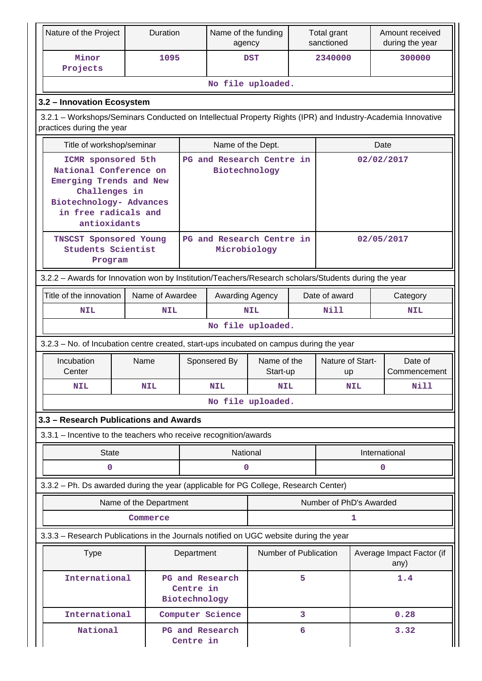| Nature of the Project                                                                                                                                       | Duration               |                            | Name of the funding<br>agency |                           | Total grant<br>sanctioned |                         |      | Amount received<br>during the year |
|-------------------------------------------------------------------------------------------------------------------------------------------------------------|------------------------|----------------------------|-------------------------------|---------------------------|---------------------------|-------------------------|------|------------------------------------|
| Minor<br>Projects                                                                                                                                           | 1095                   |                            |                               | <b>DST</b>                |                           | 2340000                 |      | 300000                             |
|                                                                                                                                                             |                        |                            |                               | No file uploaded.         |                           |                         |      |                                    |
| 3.2 - Innovation Ecosystem                                                                                                                                  |                        |                            |                               |                           |                           |                         |      |                                    |
| 3.2.1 - Workshops/Seminars Conducted on Intellectual Property Rights (IPR) and Industry-Academia Innovative<br>practices during the year                    |                        |                            |                               |                           |                           |                         |      |                                    |
| Title of workshop/seminar                                                                                                                                   |                        |                            | Name of the Dept.             |                           |                           |                         |      | Date                               |
| ICMR sponsored 5th<br>National Conference on<br>Emerging Trends and New<br>Challenges in<br>Biotechnology- Advances<br>in free radicals and<br>antioxidants |                        |                            | Biotechnology                 | PG and Research Centre in |                           |                         |      | 02/02/2017                         |
| <b>TNSCST Sponsored Young</b><br><b>Students Scientist</b><br>Program                                                                                       |                        |                            | Microbiology                  | PG and Research Centre in |                           | 02/05/2017              |      |                                    |
| 3.2.2 - Awards for Innovation won by Institution/Teachers/Research scholars/Students during the year                                                        |                        |                            |                               |                           |                           |                         |      |                                    |
| Title of the innovation<br>Name of Awardee                                                                                                                  |                        |                            | Awarding Agency               |                           |                           | Date of award           |      | Category                           |
| <b>NIL</b>                                                                                                                                                  | <b>NIL</b>             |                            |                               | <b>NIL</b>                |                           | Nill                    |      | <b>NIL</b>                         |
|                                                                                                                                                             |                        |                            |                               | No file uploaded.         |                           |                         |      |                                    |
| 3.2.3 - No. of Incubation centre created, start-ups incubated on campus during the year                                                                     |                        |                            |                               |                           |                           |                         |      |                                    |
| Incubation<br>Name<br>Center                                                                                                                                |                        |                            | Sponsered By                  | Name of the<br>Start-up   |                           | Nature of Start-<br>up  |      | Date of<br>Commencement            |
| <b>NIL</b>                                                                                                                                                  | <b>NIL</b>             |                            | <b>NIL</b>                    | <b>NIL</b>                |                           | NIL                     |      | <b>Nill</b>                        |
|                                                                                                                                                             |                        | No file uploaded.          |                               |                           |                           |                         |      |                                    |
| 3.3 - Research Publications and Awards                                                                                                                      |                        |                            |                               |                           |                           |                         |      |                                    |
| 3.3.1 - Incentive to the teachers who receive recognition/awards                                                                                            |                        |                            |                               |                           |                           |                         |      |                                    |
| <b>State</b>                                                                                                                                                |                        |                            | National                      |                           |                           | International           |      |                                    |
| 0                                                                                                                                                           |                        |                            | 0                             |                           |                           |                         |      | 0                                  |
| 3.3.2 - Ph. Ds awarded during the year (applicable for PG College, Research Center)                                                                         |                        |                            |                               |                           |                           |                         |      |                                    |
|                                                                                                                                                             | Name of the Department |                            |                               |                           |                           | Number of PhD's Awarded |      |                                    |
|                                                                                                                                                             | Commerce               |                            |                               |                           |                           |                         | 1    |                                    |
| 3.3.3 - Research Publications in the Journals notified on UGC website during the year                                                                       |                        |                            |                               |                           |                           |                         |      |                                    |
| <b>Type</b>                                                                                                                                                 |                        |                            | Department                    | Number of Publication     |                           |                         |      | Average Impact Factor (if<br>any)  |
| International                                                                                                                                               |                        | Centre in<br>Biotechnology | <b>PG and Research</b>        | 5                         |                           |                         | 1.4  |                                    |
| International                                                                                                                                               |                        |                            | Computer Science              |                           | 3                         |                         |      | 0.28                               |
| National                                                                                                                                                    |                        | Centre in                  | PG and Research               |                           | 6                         |                         | 3.32 |                                    |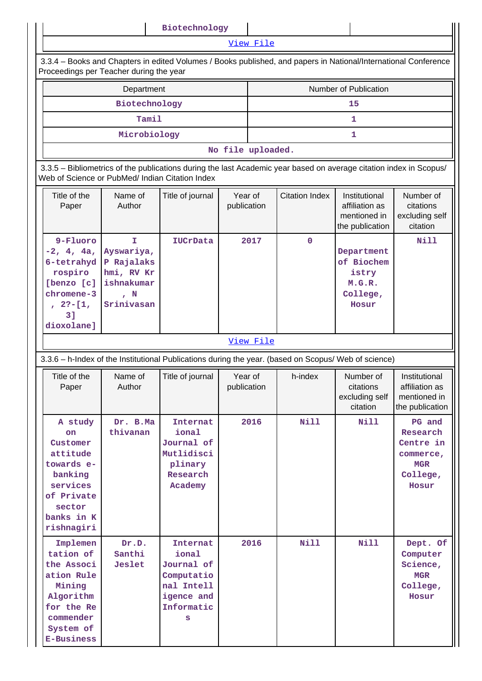|              |                                                                                                                                                                       |                                                                                 | Biotechnology                                                                                                   |                        |                   |                       |                                                                    |                                                                                 |  |  |  |
|--------------|-----------------------------------------------------------------------------------------------------------------------------------------------------------------------|---------------------------------------------------------------------------------|-----------------------------------------------------------------------------------------------------------------|------------------------|-------------------|-----------------------|--------------------------------------------------------------------|---------------------------------------------------------------------------------|--|--|--|
|              |                                                                                                                                                                       |                                                                                 |                                                                                                                 |                        | View File         |                       |                                                                    |                                                                                 |  |  |  |
|              | Proceedings per Teacher during the year                                                                                                                               |                                                                                 | 3.3.4 – Books and Chapters in edited Volumes / Books published, and papers in National/International Conference |                        |                   |                       |                                                                    |                                                                                 |  |  |  |
|              |                                                                                                                                                                       | Department                                                                      |                                                                                                                 |                        |                   |                       | Number of Publication                                              |                                                                                 |  |  |  |
|              |                                                                                                                                                                       | Biotechnology                                                                   |                                                                                                                 |                        | 15                |                       |                                                                    |                                                                                 |  |  |  |
|              |                                                                                                                                                                       | Tamil                                                                           |                                                                                                                 |                        | 1                 |                       |                                                                    |                                                                                 |  |  |  |
| Microbiology |                                                                                                                                                                       |                                                                                 |                                                                                                                 |                        |                   |                       | 1                                                                  |                                                                                 |  |  |  |
|              |                                                                                                                                                                       |                                                                                 |                                                                                                                 |                        | No file uploaded. |                       |                                                                    |                                                                                 |  |  |  |
|              | 3.3.5 – Bibliometrics of the publications during the last Academic year based on average citation index in Scopus/<br>Web of Science or PubMed/ Indian Citation Index |                                                                                 |                                                                                                                 |                        |                   |                       |                                                                    |                                                                                 |  |  |  |
|              | Title of the<br>Paper                                                                                                                                                 | Name of<br>Author                                                               | Title of journal                                                                                                | Year of<br>publication |                   | <b>Citation Index</b> | Institutional<br>affiliation as<br>mentioned in<br>the publication | Number of<br>citations<br>excluding self<br>citation                            |  |  |  |
|              | 9-Fluoro<br>$-2, 4, 4a,$<br>6-tetrahyd<br>rospiro<br>[benzo [c]<br>chromene-3<br>$2? - [1,$<br>31<br>dioxolane]                                                       | T.<br>Ayswariya,<br>P Rajalaks<br>hmi, RV Kr<br>ishnakumar<br>, N<br>Srinivasan | IUCrData                                                                                                        |                        | 2017              | 0                     | Department<br>of Biochem<br>istry<br>M.G.R.<br>College,<br>Hosur   | <b>Nill</b>                                                                     |  |  |  |
|              |                                                                                                                                                                       |                                                                                 |                                                                                                                 |                        | View File         |                       |                                                                    |                                                                                 |  |  |  |
|              |                                                                                                                                                                       |                                                                                 | 3.3.6 - h-Index of the Institutional Publications during the year. (based on Scopus/ Web of science)            |                        |                   |                       |                                                                    |                                                                                 |  |  |  |
|              | Title of the<br>Paper                                                                                                                                                 | Name of<br>Author                                                               | Title of journal                                                                                                | Year of<br>publication |                   | h-index               | Number of<br>citations<br>excluding self<br>citation               | Institutional<br>affiliation as<br>mentioned in<br>the publication              |  |  |  |
|              | A study<br><b>on</b><br>Customer<br>attitude<br>towards e-<br>banking<br>services<br>of Private<br>sector<br>banks in K<br>rishnagiri                                 | Dr. B.Ma<br>thivanan                                                            | Internat<br>ional<br>Journal of<br>Mutlidisci<br>plinary<br>Research<br>Academy                                 |                        | 2016              | <b>Nill</b>           | Nill                                                               | PG and<br>Research<br>Centre in<br>commerce,<br><b>MGR</b><br>College,<br>Hosur |  |  |  |
|              | Implemen<br>tation of<br>the Associ<br>ation Rule<br>Mining<br>Algorithm<br>for the Re<br>commender<br>System of<br><b>E-Business</b>                                 | Dr.D.<br>Santhi<br>Jeslet                                                       | Internat<br>ional<br>Journal of<br>Computatio<br>nal Intell<br>igence and<br>Informatic<br>s                    |                        | 2016              | Nill                  | Nill                                                               | Dept. Of<br>Computer<br>Science,<br><b>MGR</b><br>College,<br>Hosur             |  |  |  |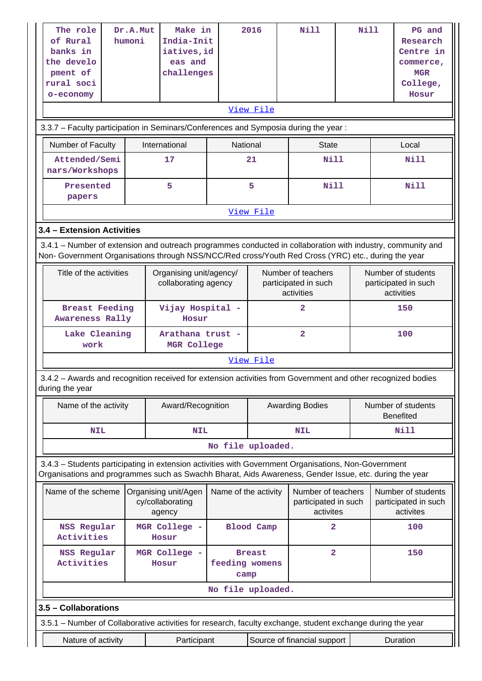| The role<br>of Rural<br>banks in<br>the develo<br>pment of<br>rural soci<br>o-economy<br>3.3.7 - Faculty participation in Seminars/Conferences and Symposia during the year:                                       | Dr.A.Mut<br>humoni                                 | Make in<br>India-Init<br>iatives, id<br>eas and<br>challenges |                        | 2016<br>View File                                        | Nill                                                    | Nill                           |                                                          | PG and<br>Research<br>Centre in<br>commerce,<br><b>MGR</b><br>College,<br>Hosur |  |  |
|--------------------------------------------------------------------------------------------------------------------------------------------------------------------------------------------------------------------|----------------------------------------------------|---------------------------------------------------------------|------------------------|----------------------------------------------------------|---------------------------------------------------------|--------------------------------|----------------------------------------------------------|---------------------------------------------------------------------------------|--|--|
| Number of Faculty                                                                                                                                                                                                  |                                                    | International                                                 | National               |                                                          | <b>State</b>                                            |                                |                                                          | Local                                                                           |  |  |
| Attended/Semi<br>nars/Workshops                                                                                                                                                                                    |                                                    | 17                                                            |                        | 21                                                       | <b>Nill</b>                                             |                                |                                                          | <b>Nill</b>                                                                     |  |  |
| Presented<br>papers                                                                                                                                                                                                |                                                    | 5                                                             |                        | 5                                                        | Nill                                                    |                                |                                                          | <b>Nill</b>                                                                     |  |  |
|                                                                                                                                                                                                                    |                                                    |                                                               |                        | View File                                                |                                                         |                                |                                                          |                                                                                 |  |  |
| 3.4 - Extension Activities                                                                                                                                                                                         |                                                    |                                                               |                        |                                                          |                                                         |                                |                                                          |                                                                                 |  |  |
| 3.4.1 - Number of extension and outreach programmes conducted in collaboration with industry, community and<br>Non- Government Organisations through NSS/NCC/Red cross/Youth Red Cross (YRC) etc., during the year |                                                    |                                                               |                        |                                                          |                                                         |                                |                                                          |                                                                                 |  |  |
| Title of the activities                                                                                                                                                                                            |                                                    | Organising unit/agency/<br>collaborating agency               |                        | Number of teachers<br>participated in such<br>activities |                                                         |                                | Number of students<br>participated in such<br>activities |                                                                                 |  |  |
| <b>Breast Feeding</b><br>Awareness Rally                                                                                                                                                                           |                                                    | Vijay Hospital -<br>Hosur                                     |                        |                                                          | $\overline{2}$                                          |                                | 150                                                      |                                                                                 |  |  |
| Lake Cleaning<br>work                                                                                                                                                                                              |                                                    | Arathana trust -<br>MGR College                               |                        |                                                          | $\overline{2}$                                          |                                | 100                                                      |                                                                                 |  |  |
|                                                                                                                                                                                                                    |                                                    |                                                               |                        | View File                                                |                                                         |                                |                                                          |                                                                                 |  |  |
| 3.4.2 - Awards and recognition received for extension activities from Government and other recognized bodies<br>during the year                                                                                    |                                                    |                                                               |                        |                                                          |                                                         |                                |                                                          |                                                                                 |  |  |
| Name of the activity                                                                                                                                                                                               |                                                    | Award/Recognition                                             |                        | <b>Awarding Bodies</b>                                   |                                                         |                                | Number of students<br><b>Benefited</b>                   |                                                                                 |  |  |
| <b>NIL</b>                                                                                                                                                                                                         |                                                    | <b>NIL</b>                                                    |                        |                                                          | <b>NIL</b>                                              |                                | Nill                                                     |                                                                                 |  |  |
|                                                                                                                                                                                                                    |                                                    |                                                               | No file uploaded.      |                                                          |                                                         |                                |                                                          |                                                                                 |  |  |
| 3.4.3 - Students participating in extension activities with Government Organisations, Non-Government<br>Organisations and programmes such as Swachh Bharat, Aids Awareness, Gender Issue, etc. during the year     |                                                    |                                                               |                        |                                                          |                                                         |                                |                                                          |                                                                                 |  |  |
| Name of the scheme                                                                                                                                                                                                 | Organising unit/Agen<br>cy/collaborating<br>agency |                                                               | Name of the activity   |                                                          | Number of teachers<br>participated in such<br>activites |                                |                                                          | Number of students<br>participated in such<br>activites                         |  |  |
| NSS Regular<br>Activities                                                                                                                                                                                          |                                                    | MGR College -<br>Hosur                                        |                        | <b>Blood Camp</b><br>$\mathbf{2}$                        |                                                         |                                |                                                          | 100                                                                             |  |  |
| NSS Regular<br>Activities                                                                                                                                                                                          |                                                    | MGR College -<br>Hosur                                        | feeding womens<br>camp | <b>Breast</b>                                            |                                                         | $\overline{\mathbf{2}}$<br>150 |                                                          |                                                                                 |  |  |
|                                                                                                                                                                                                                    |                                                    |                                                               | No file uploaded.      |                                                          |                                                         |                                |                                                          |                                                                                 |  |  |
| 3.5 - Collaborations                                                                                                                                                                                               |                                                    |                                                               |                        |                                                          |                                                         |                                |                                                          |                                                                                 |  |  |
| 3.5.1 - Number of Collaborative activities for research, faculty exchange, student exchange during the year                                                                                                        |                                                    |                                                               |                        |                                                          |                                                         |                                |                                                          |                                                                                 |  |  |
| Nature of activity                                                                                                                                                                                                 |                                                    | Participant                                                   |                        |                                                          | Source of financial support                             |                                |                                                          | Duration                                                                        |  |  |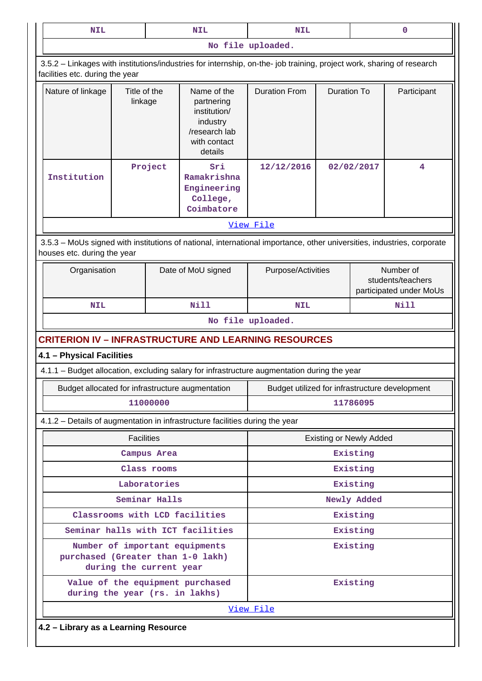| <b>NIL</b>                                                                                                                                               |                                                                     |                      | <b>NIL</b>                                                                                        | <b>NIL</b>                                     |                    |                                                           | 0           |  |
|----------------------------------------------------------------------------------------------------------------------------------------------------------|---------------------------------------------------------------------|----------------------|---------------------------------------------------------------------------------------------------|------------------------------------------------|--------------------|-----------------------------------------------------------|-------------|--|
|                                                                                                                                                          |                                                                     |                      |                                                                                                   | No file uploaded.                              |                    |                                                           |             |  |
| 3.5.2 - Linkages with institutions/industries for internship, on-the- job training, project work, sharing of research<br>facilities etc. during the year |                                                                     |                      |                                                                                                   |                                                |                    |                                                           |             |  |
| Nature of linkage                                                                                                                                        | Title of the<br>linkage                                             |                      | Name of the<br>partnering<br>institution/<br>industry<br>/research lab<br>with contact<br>details | <b>Duration From</b>                           | <b>Duration To</b> |                                                           | Participant |  |
| Institution                                                                                                                                              |                                                                     | Project              | Sri<br>Ramakrishna<br>Engineering<br>College,<br>Coimbatore                                       | 12/12/2016                                     |                    | 02/02/2017                                                | 4           |  |
|                                                                                                                                                          |                                                                     |                      |                                                                                                   | View File                                      |                    |                                                           |             |  |
| 3.5.3 - MoUs signed with institutions of national, international importance, other universities, industries, corporate<br>houses etc. during the year    |                                                                     |                      |                                                                                                   |                                                |                    |                                                           |             |  |
| Organisation                                                                                                                                             |                                                                     |                      | Date of MoU signed                                                                                | Purpose/Activities                             |                    | Number of<br>students/teachers<br>participated under MoUs |             |  |
| <b>NIL</b>                                                                                                                                               |                                                                     |                      | Nill                                                                                              | <b>NIL</b>                                     |                    |                                                           | Nill        |  |
|                                                                                                                                                          |                                                                     |                      |                                                                                                   | No file uploaded.                              |                    |                                                           |             |  |
| <b>CRITERION IV - INFRASTRUCTURE AND LEARNING RESOURCES</b>                                                                                              |                                                                     |                      |                                                                                                   |                                                |                    |                                                           |             |  |
| 4.1 - Physical Facilities                                                                                                                                |                                                                     |                      |                                                                                                   |                                                |                    |                                                           |             |  |
| 4.1.1 – Budget allocation, excluding salary for infrastructure augmentation during the year                                                              |                                                                     |                      |                                                                                                   |                                                |                    |                                                           |             |  |
| Budget allocated for infrastructure augmentation                                                                                                         |                                                                     |                      |                                                                                                   | Budget utilized for infrastructure development |                    |                                                           |             |  |
|                                                                                                                                                          |                                                                     | 11000000             |                                                                                                   |                                                |                    | 11786095                                                  |             |  |
| 4.1.2 - Details of augmentation in infrastructure facilities during the year                                                                             |                                                                     |                      |                                                                                                   |                                                |                    |                                                           |             |  |
|                                                                                                                                                          | <b>Facilities</b>                                                   |                      |                                                                                                   | <b>Existing or Newly Added</b>                 |                    |                                                           |             |  |
|                                                                                                                                                          |                                                                     | Campus Area          |                                                                                                   | Existing                                       |                    |                                                           |             |  |
|                                                                                                                                                          |                                                                     | Class rooms          |                                                                                                   | Existing                                       |                    |                                                           |             |  |
|                                                                                                                                                          |                                                                     | Laboratories         |                                                                                                   |                                                |                    | Existing                                                  |             |  |
|                                                                                                                                                          |                                                                     | Seminar Halls        |                                                                                                   |                                                |                    | Newly Added                                               |             |  |
|                                                                                                                                                          | Classrooms with LCD facilities                                      | Existing             |                                                                                                   |                                                |                    |                                                           |             |  |
| purchased (Greater than 1-0 lakh)<br>during the current year                                                                                             | Seminar halls with ICT facilities<br>Number of important equipments | Existing<br>Existing |                                                                                                   |                                                |                    |                                                           |             |  |
| during the year (rs. in lakhs)                                                                                                                           |                                                                     |                      | Value of the equipment purchased                                                                  | Existing                                       |                    |                                                           |             |  |
|                                                                                                                                                          |                                                                     |                      |                                                                                                   | View File                                      |                    |                                                           |             |  |
| 4.2 - Library as a Learning Resource                                                                                                                     |                                                                     |                      |                                                                                                   |                                                |                    |                                                           |             |  |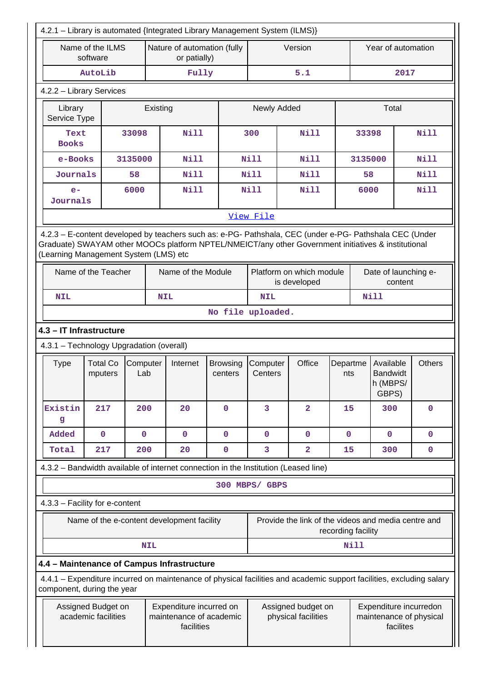|                                                                              |                              |                 |                                                                                                                                                                                                                                      | 4.2.1 - Library is automated {Integrated Library Management System (ILMS)} |                                           |                                                     |                    |                        |                                                   |               |  |
|------------------------------------------------------------------------------|------------------------------|-----------------|--------------------------------------------------------------------------------------------------------------------------------------------------------------------------------------------------------------------------------------|----------------------------------------------------------------------------|-------------------------------------------|-----------------------------------------------------|--------------------|------------------------|---------------------------------------------------|---------------|--|
|                                                                              | Name of the ILMS<br>software |                 | Nature of automation (fully<br>or patially)                                                                                                                                                                                          |                                                                            | Version                                   |                                                     |                    | Year of automation     |                                                   |               |  |
|                                                                              | AutoLib                      |                 | Fully                                                                                                                                                                                                                                |                                                                            |                                           | 5.1                                                 |                    |                        | 2017                                              |               |  |
| 4.2.2 - Library Services                                                     |                              |                 |                                                                                                                                                                                                                                      |                                                                            |                                           |                                                     |                    |                        |                                                   |               |  |
| Library<br>Service Type                                                      |                              | Existing        |                                                                                                                                                                                                                                      |                                                                            | Newly Added                               |                                                     |                    |                        | Total                                             |               |  |
| <b>Nill</b><br>Nill<br>Nill<br>33098<br>300<br>33398<br>Text<br><b>Books</b> |                              |                 |                                                                                                                                                                                                                                      |                                                                            |                                           |                                                     |                    |                        |                                                   |               |  |
| e-Books                                                                      |                              | 3135000         | <b>Nill</b>                                                                                                                                                                                                                          |                                                                            | Nill                                      | <b>Nill</b>                                         |                    | <b>Nill</b><br>3135000 |                                                   |               |  |
| Journals                                                                     |                              | 58              | Nill                                                                                                                                                                                                                                 |                                                                            | Nill                                      | Nill                                                |                    | Nill<br>58             |                                                   |               |  |
| $e-$<br>Journals                                                             |                              | 6000            | <b>Nill</b>                                                                                                                                                                                                                          |                                                                            | Nill                                      | <b>Nill</b>                                         |                    | <b>Nill</b><br>6000    |                                                   |               |  |
|                                                                              |                              |                 |                                                                                                                                                                                                                                      |                                                                            | View File                                 |                                                     |                    |                        |                                                   |               |  |
| (Learning Management System (LMS) etc                                        | Name of the Teacher          |                 | 4.2.3 - E-content developed by teachers such as: e-PG- Pathshala, CEC (under e-PG- Pathshala CEC (Under<br>Graduate) SWAYAM other MOOCs platform NPTEL/NMEICT/any other Government initiatives & institutional<br>Name of the Module |                                                                            |                                           | Platform on which module                            |                    |                        | Date of launching e-<br>content                   |               |  |
| <b>NIL</b>                                                                   |                              |                 | <b>NIL</b>                                                                                                                                                                                                                           |                                                                            | is developed<br><b>Nill</b><br><b>NIL</b> |                                                     |                    |                        |                                                   |               |  |
| No file uploaded.                                                            |                              |                 |                                                                                                                                                                                                                                      |                                                                            |                                           |                                                     |                    |                        |                                                   |               |  |
|                                                                              |                              |                 |                                                                                                                                                                                                                                      |                                                                            |                                           |                                                     |                    |                        |                                                   |               |  |
| 4.3 - IT Infrastructure<br>4.3.1 - Technology Upgradation (overall)          |                              |                 |                                                                                                                                                                                                                                      |                                                                            |                                           |                                                     |                    |                        |                                                   |               |  |
| <b>Type</b>                                                                  | <b>Total Co</b><br>mputers   | Computer<br>Lab | Internet                                                                                                                                                                                                                             | <b>Browsing</b><br>centers                                                 | Computer<br>Centers                       | Office                                              | Departme<br>nts    |                        | Available<br><b>Bandwidt</b><br>h (MBPS/<br>GBPS) |               |  |
| Existin<br>g                                                                 | 217                          | 200             | 20                                                                                                                                                                                                                                   | $\mathbf 0$                                                                | 3                                         | $\overline{a}$                                      | 15                 |                        | 300                                               | $\mathbf{0}$  |  |
| Added                                                                        | 0                            | $\mathbf 0$     | $\mathbf{O}$                                                                                                                                                                                                                         | $\mathbf{0}$                                                               | $\mathbf 0$                               | $\mathbf 0$                                         | $\mathbf 0$        |                        | $\mathbf{0}$                                      | $\mathbf{0}$  |  |
| Total                                                                        | 217                          | 200             | 20                                                                                                                                                                                                                                   | $\mathbf 0$                                                                | 3                                         | $\overline{\mathbf{2}}$                             | 15                 |                        | 300                                               | $\mathbf 0$   |  |
|                                                                              |                              |                 | 4.3.2 - Bandwidth available of internet connection in the Institution (Leased line)                                                                                                                                                  |                                                                            |                                           |                                                     |                    |                        |                                                   |               |  |
|                                                                              |                              |                 |                                                                                                                                                                                                                                      |                                                                            | 300 MBPS/ GBPS                            |                                                     |                    |                        |                                                   |               |  |
| 4.3.3 - Facility for e-content                                               |                              |                 |                                                                                                                                                                                                                                      |                                                                            |                                           |                                                     |                    |                        |                                                   |               |  |
|                                                                              |                              |                 | Name of the e-content development facility                                                                                                                                                                                           |                                                                            |                                           | Provide the link of the videos and media centre and | recording facility |                        |                                                   |               |  |
|                                                                              |                              | <b>NIL</b>      |                                                                                                                                                                                                                                      |                                                                            |                                           |                                                     |                    | Nill                   |                                                   | <b>Others</b> |  |
|                                                                              |                              |                 |                                                                                                                                                                                                                                      |                                                                            |                                           |                                                     |                    |                        |                                                   |               |  |
| component, during the year                                                   |                              |                 | 4.4 - Maintenance of Campus Infrastructure<br>4.4.1 – Expenditure incurred on maintenance of physical facilities and academic support facilities, excluding salary                                                                   |                                                                            |                                           |                                                     |                    |                        |                                                   |               |  |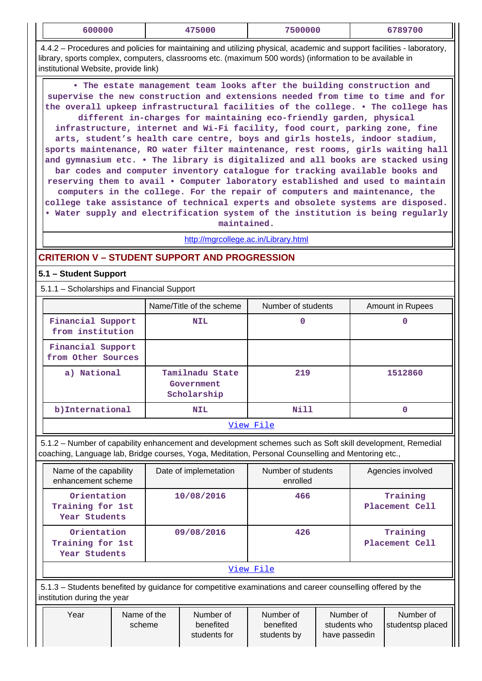| 600000                                                                                                                                                                                                                                                                                                                                                                                                                                                                                                                                                                                                                                                                                                                                                                                                                                                                                                                                                                                                                                                                                    | 475000                                       | 7500000                        | 6789700                    |  |  |  |  |  |  |
|-------------------------------------------------------------------------------------------------------------------------------------------------------------------------------------------------------------------------------------------------------------------------------------------------------------------------------------------------------------------------------------------------------------------------------------------------------------------------------------------------------------------------------------------------------------------------------------------------------------------------------------------------------------------------------------------------------------------------------------------------------------------------------------------------------------------------------------------------------------------------------------------------------------------------------------------------------------------------------------------------------------------------------------------------------------------------------------------|----------------------------------------------|--------------------------------|----------------------------|--|--|--|--|--|--|
| 4.4.2 – Procedures and policies for maintaining and utilizing physical, academic and support facilities - laboratory,<br>library, sports complex, computers, classrooms etc. (maximum 500 words) (information to be available in<br>institutional Website, provide link)                                                                                                                                                                                                                                                                                                                                                                                                                                                                                                                                                                                                                                                                                                                                                                                                                  |                                              |                                |                            |  |  |  |  |  |  |
| . The estate management team looks after the building construction and<br>supervise the new construction and extensions needed from time to time and for<br>the overall upkeep infrastructural facilities of the college. . The college has<br>different in-charges for maintaining eco-friendly garden, physical<br>infrastructure, internet and Wi-Fi facility, food court, parking zone, fine<br>arts, student's health care centre, boys and girls hostels, indoor stadium,<br>sports maintenance, RO water filter maintenance, rest rooms, girls waiting hall<br>and gymnasium etc. . The library is digitalized and all books are stacked using<br>bar codes and computer inventory catalogue for tracking available books and<br>reserving them to avail . Computer laboratory established and used to maintain<br>computers in the college. For the repair of computers and maintenance, the<br>college take assistance of technical experts and obsolete systems are disposed.<br>. Water supply and electrification system of the institution is being regularly<br>maintained. |                                              |                                |                            |  |  |  |  |  |  |
|                                                                                                                                                                                                                                                                                                                                                                                                                                                                                                                                                                                                                                                                                                                                                                                                                                                                                                                                                                                                                                                                                           | http://mgrcollege.ac.in/Library.html         |                                |                            |  |  |  |  |  |  |
| <b>CRITERION V - STUDENT SUPPORT AND PROGRESSION</b>                                                                                                                                                                                                                                                                                                                                                                                                                                                                                                                                                                                                                                                                                                                                                                                                                                                                                                                                                                                                                                      |                                              |                                |                            |  |  |  |  |  |  |
| 5.1 - Student Support                                                                                                                                                                                                                                                                                                                                                                                                                                                                                                                                                                                                                                                                                                                                                                                                                                                                                                                                                                                                                                                                     |                                              |                                |                            |  |  |  |  |  |  |
| 5.1.1 - Scholarships and Financial Support                                                                                                                                                                                                                                                                                                                                                                                                                                                                                                                                                                                                                                                                                                                                                                                                                                                                                                                                                                                                                                                |                                              |                                |                            |  |  |  |  |  |  |
|                                                                                                                                                                                                                                                                                                                                                                                                                                                                                                                                                                                                                                                                                                                                                                                                                                                                                                                                                                                                                                                                                           | Name/Title of the scheme                     | Number of students             | Amount in Rupees           |  |  |  |  |  |  |
| Financial Support<br>from institution                                                                                                                                                                                                                                                                                                                                                                                                                                                                                                                                                                                                                                                                                                                                                                                                                                                                                                                                                                                                                                                     | NIL                                          | 0                              | 0                          |  |  |  |  |  |  |
| Financial Support<br>from Other Sources                                                                                                                                                                                                                                                                                                                                                                                                                                                                                                                                                                                                                                                                                                                                                                                                                                                                                                                                                                                                                                                   |                                              |                                |                            |  |  |  |  |  |  |
| a) National                                                                                                                                                                                                                                                                                                                                                                                                                                                                                                                                                                                                                                                                                                                                                                                                                                                                                                                                                                                                                                                                               | Tamilnadu State<br>Government<br>Scholarship | 219                            | 1512860                    |  |  |  |  |  |  |
| b) International                                                                                                                                                                                                                                                                                                                                                                                                                                                                                                                                                                                                                                                                                                                                                                                                                                                                                                                                                                                                                                                                          | <b>NIL</b>                                   | Nill                           | $\mathbf{0}$               |  |  |  |  |  |  |
|                                                                                                                                                                                                                                                                                                                                                                                                                                                                                                                                                                                                                                                                                                                                                                                                                                                                                                                                                                                                                                                                                           |                                              | View File                      |                            |  |  |  |  |  |  |
| 5.1.2 - Number of capability enhancement and development schemes such as Soft skill development, Remedial<br>coaching, Language lab, Bridge courses, Yoga, Meditation, Personal Counselling and Mentoring etc.,                                                                                                                                                                                                                                                                                                                                                                                                                                                                                                                                                                                                                                                                                                                                                                                                                                                                           |                                              |                                |                            |  |  |  |  |  |  |
| Name of the capability<br>enhancement scheme                                                                                                                                                                                                                                                                                                                                                                                                                                                                                                                                                                                                                                                                                                                                                                                                                                                                                                                                                                                                                                              | Date of implemetation                        | Number of students<br>enrolled | Agencies involved          |  |  |  |  |  |  |
| Orientation<br>Training for 1st<br>Year Students                                                                                                                                                                                                                                                                                                                                                                                                                                                                                                                                                                                                                                                                                                                                                                                                                                                                                                                                                                                                                                          | 10/08/2016                                   | 466                            | Training<br>Placement Cell |  |  |  |  |  |  |
| Orientation<br>Training for 1st                                                                                                                                                                                                                                                                                                                                                                                                                                                                                                                                                                                                                                                                                                                                                                                                                                                                                                                                                                                                                                                           | 09/08/2016                                   | 426                            | Training<br>Placement Cell |  |  |  |  |  |  |

 5.1.3 – Students benefited by guidance for competitive examinations and career counselling offered by the institution during the year

**Year Students**

| Year<br>Name of the<br>Number of<br>benefited<br>scheme<br>students for | Number of<br>benefited<br>students by | Number of<br>students who<br>have passedin | Number of<br>studentsp placed |
|-------------------------------------------------------------------------|---------------------------------------|--------------------------------------------|-------------------------------|
|-------------------------------------------------------------------------|---------------------------------------|--------------------------------------------|-------------------------------|

[View File](https://assessmentonline.naac.gov.in/public/Postacc/Development_Schemes/5048_Development_Schemes_1584510711.xlsx)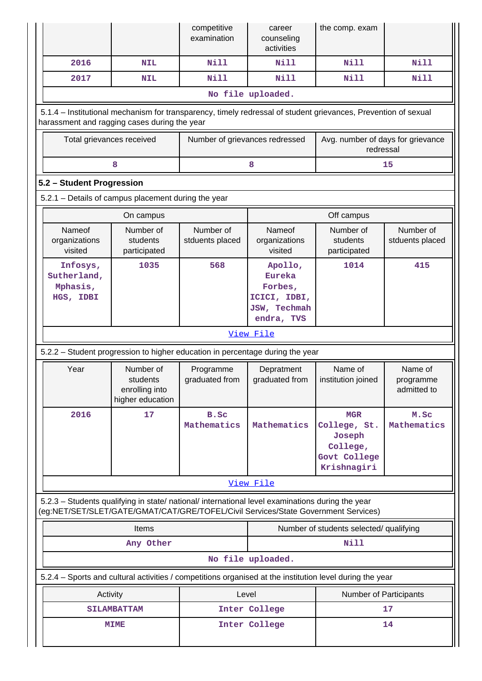|                                                                                                                                                                                        |                                                             | competitive<br>examination     | career<br>counseling<br>activities                                                | the comp. exam                                                                  |                                     |  |  |  |  |
|----------------------------------------------------------------------------------------------------------------------------------------------------------------------------------------|-------------------------------------------------------------|--------------------------------|-----------------------------------------------------------------------------------|---------------------------------------------------------------------------------|-------------------------------------|--|--|--|--|
| 2016                                                                                                                                                                                   | <b>NIL</b>                                                  | <b>Nill</b>                    | Nill                                                                              | Nill                                                                            | Nill                                |  |  |  |  |
| 2017                                                                                                                                                                                   | <b>NIL</b>                                                  | <b>Nill</b>                    | Nill                                                                              | Nill                                                                            | Nill                                |  |  |  |  |
|                                                                                                                                                                                        |                                                             |                                | No file uploaded.                                                                 |                                                                                 |                                     |  |  |  |  |
| 5.1.4 - Institutional mechanism for transparency, timely redressal of student grievances, Prevention of sexual<br>harassment and ragging cases during the year                         |                                                             |                                |                                                                                   |                                                                                 |                                     |  |  |  |  |
| Total grievances received                                                                                                                                                              |                                                             | Number of grievances redressed |                                                                                   | Avg. number of days for grievance<br>redressal                                  |                                     |  |  |  |  |
|                                                                                                                                                                                        | 8                                                           |                                | 8                                                                                 |                                                                                 | 15                                  |  |  |  |  |
| 5.2 - Student Progression                                                                                                                                                              |                                                             |                                |                                                                                   |                                                                                 |                                     |  |  |  |  |
| 5.2.1 - Details of campus placement during the year                                                                                                                                    |                                                             |                                |                                                                                   |                                                                                 |                                     |  |  |  |  |
|                                                                                                                                                                                        | On campus                                                   |                                |                                                                                   | Off campus                                                                      |                                     |  |  |  |  |
| Nameof<br>organizations<br>visited                                                                                                                                                     | Number of<br>students<br>participated                       | Number of<br>stduents placed   | Nameof<br>organizations<br>visited                                                | Number of<br>students<br>participated                                           | Number of<br>stduents placed        |  |  |  |  |
| Infosys,<br>Sutherland,<br>Mphasis,<br>HGS, IDBI                                                                                                                                       | 1035                                                        | 568                            | Apollo,<br><b>Eureka</b><br>Forbes,<br>ICICI, IDBI,<br>JSW, Techmah<br>endra, TVS | 1014                                                                            | 415                                 |  |  |  |  |
|                                                                                                                                                                                        |                                                             |                                | View File                                                                         |                                                                                 |                                     |  |  |  |  |
| 5.2.2 - Student progression to higher education in percentage during the year                                                                                                          |                                                             |                                |                                                                                   |                                                                                 |                                     |  |  |  |  |
| Year                                                                                                                                                                                   | Number of<br>students<br>enrolling into<br>higher education | Programme<br>graduated from    | Depratment<br>graduated from                                                      | Name of<br>institution joined                                                   | Name of<br>programme<br>admitted to |  |  |  |  |
| 2016                                                                                                                                                                                   | 17                                                          | B.Sc<br>Mathematics            | Mathematics                                                                       | <b>MGR</b><br>College, St.<br>Joseph<br>College,<br>Govt College<br>Krishnagiri | M.Sc<br>Mathematics                 |  |  |  |  |
|                                                                                                                                                                                        |                                                             |                                | View File                                                                         |                                                                                 |                                     |  |  |  |  |
| 5.2.3 - Students qualifying in state/ national/ international level examinations during the year<br>(eg:NET/SET/SLET/GATE/GMAT/CAT/GRE/TOFEL/Civil Services/State Government Services) |                                                             |                                |                                                                                   |                                                                                 |                                     |  |  |  |  |
|                                                                                                                                                                                        | <b>Items</b>                                                |                                |                                                                                   | Number of students selected/ qualifying                                         |                                     |  |  |  |  |
|                                                                                                                                                                                        | Any Other                                                   |                                |                                                                                   | <b>Nill</b>                                                                     |                                     |  |  |  |  |
|                                                                                                                                                                                        |                                                             |                                | No file uploaded.                                                                 |                                                                                 |                                     |  |  |  |  |
| 5.2.4 – Sports and cultural activities / competitions organised at the institution level during the year                                                                               |                                                             |                                |                                                                                   |                                                                                 |                                     |  |  |  |  |
| Activity                                                                                                                                                                               |                                                             | Level                          |                                                                                   | Number of Participants                                                          |                                     |  |  |  |  |
|                                                                                                                                                                                        | <b>SILAMBATTAM</b>                                          |                                | Inter College                                                                     |                                                                                 | 17                                  |  |  |  |  |
|                                                                                                                                                                                        | <b>MIME</b>                                                 |                                | Inter College                                                                     |                                                                                 | 14                                  |  |  |  |  |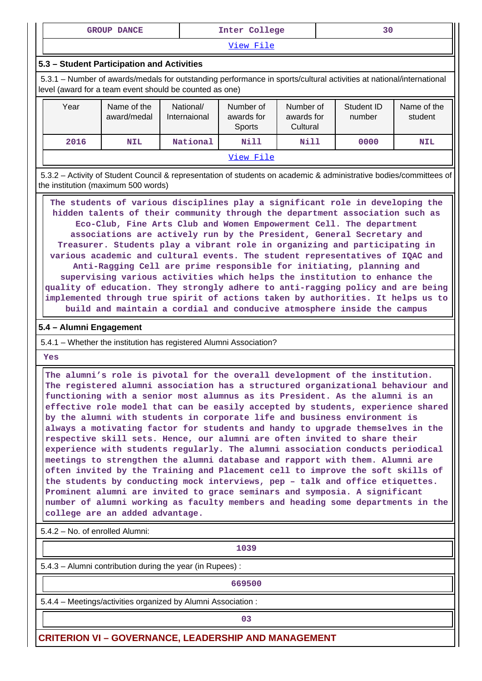|  | <b>DANCE</b><br>erome<br>______<br>____ | Inter<br>$\rho$<br>-------- | - - |
|--|-----------------------------------------|-----------------------------|-----|
|--|-----------------------------------------|-----------------------------|-----|

[View File](https://assessmentonline.naac.gov.in/public/Postacc/Activities_Organised/5048_Activities_Organised_1584511315.xlsx)

#### **5.3 – Student Participation and Activities**

 5.3.1 – Number of awards/medals for outstanding performance in sports/cultural activities at national/international level (award for a team event should be counted as one)

| Year | Name of the<br>award/medal | National/<br>Internaional | Number of<br>awards for<br>Sports | Number of<br>awards for<br>Cultural | Student ID<br>number | Name of the<br>student |
|------|----------------------------|---------------------------|-----------------------------------|-------------------------------------|----------------------|------------------------|
| 2016 | <b>NIL</b>                 | National                  | Nill                              | Nill                                | 0000                 | <b>NIL</b>             |
|      |                            |                           | View File                         |                                     |                      |                        |

 5.3.2 – Activity of Student Council & representation of students on academic & administrative bodies/committees of the institution (maximum 500 words)

 **The students of various disciplines play a significant role in developing the hidden talents of their community through the department association such as Eco-Club, Fine Arts Club and Women Empowerment Cell. The department associations are actively run by the President, General Secretary and Treasurer. Students play a vibrant role in organizing and participating in various academic and cultural events. The student representatives of IQAC and Anti-Ragging Cell are prime responsible for initiating, planning and supervising various activities which helps the institution to enhance the quality of education. They strongly adhere to anti-ragging policy and are being implemented through true spirit of actions taken by authorities. It helps us to build and maintain a cordial and conducive atmosphere inside the campus**

### **5.4 – Alumni Engagement**

5.4.1 – Whether the institution has registered Alumni Association?

 **Yes**

 **The alumni's role is pivotal for the overall development of the institution. The registered alumni association has a structured organizational behaviour and functioning with a senior most alumnus as its President. As the alumni is an effective role model that can be easily accepted by students, experience shared by the alumni with students in corporate life and business environment is always a motivating factor for students and handy to upgrade themselves in the respective skill sets. Hence, our alumni are often invited to share their experience with students regularly. The alumni association conducts periodical meetings to strengthen the alumni database and rapport with them. Alumni are often invited by the Training and Placement cell to improve the soft skills of the students by conducting mock interviews, pep – talk and office etiquettes. Prominent alumni are invited to grace seminars and symposia. A significant number of alumni working as faculty members and heading some departments in the college are an added advantage.**

5.4.2 – No. of enrolled Alumni:

**1039**

5.4.3 – Alumni contribution during the year (in Rupees) :

**1 669500** 

5.4.4 – Meetings/activities organized by Alumni Association :

**03**

**CRITERION VI – GOVERNANCE, LEADERSHIP AND MANAGEMENT**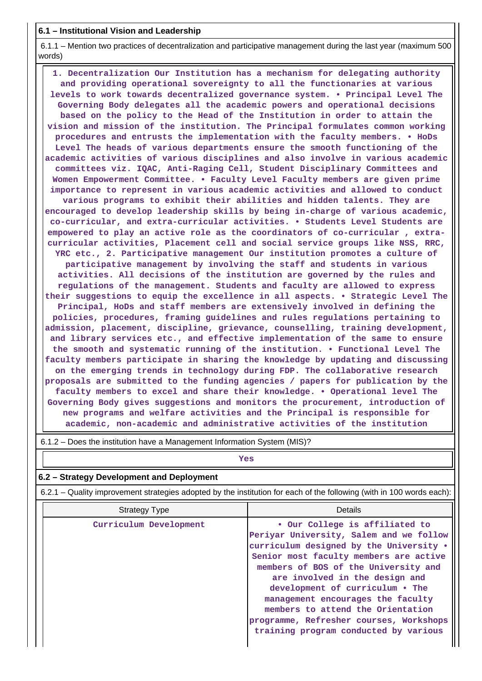### **6.1 – Institutional Vision and Leadership**

 6.1.1 – Mention two practices of decentralization and participative management during the last year (maximum 500 words)

 **1. Decentralization Our Institution has a mechanism for delegating authority and providing operational sovereignty to all the functionaries at various levels to work towards decentralized governance system. • Principal Level The Governing Body delegates all the academic powers and operational decisions based on the policy to the Head of the Institution in order to attain the vision and mission of the institution. The Principal formulates common working procedures and entrusts the implementation with the faculty members. • HoDs Level The heads of various departments ensure the smooth functioning of the academic activities of various disciplines and also involve in various academic committees viz. IQAC, Anti-Raging Cell, Student Disciplinary Committees and Women Empowerment Committee. • Faculty Level Faculty members are given prime importance to represent in various academic activities and allowed to conduct various programs to exhibit their abilities and hidden talents. They are encouraged to develop leadership skills by being in-charge of various academic, co-curricular, and extra-curricular activities. • Students Level Students are empowered to play an active role as the coordinators of co-curricular , extracurricular activities, Placement cell and social service groups like NSS, RRC, YRC etc., 2. Participative management Our institution promotes a culture of participative management by involving the staff and students in various activities. All decisions of the institution are governed by the rules and regulations of the management. Students and faculty are allowed to express their suggestions to equip the excellence in all aspects. • Strategic Level The Principal, HoDs and staff members are extensively involved in defining the policies, procedures, framing guidelines and rules regulations pertaining to admission, placement, discipline, grievance, counselling, training development, and library services etc., and effective implementation of the same to ensure the smooth and systematic running of the institution. • Functional Level The faculty members participate in sharing the knowledge by updating and discussing on the emerging trends in technology during FDP. The collaborative research proposals are submitted to the funding agencies / papers for publication by the faculty members to excel and share their knowledge. • Operational level The Governing Body gives suggestions and monitors the procurement, introduction of new programs and welfare activities and the Principal is responsible for academic, non-academic and administrative activities of the institution**

 6.1.2 – Does the institution have a Management Information System (MIS)? *Yes* 

# **6.2 – Strategy Development and Deployment**

6.2.1 – Quality improvement strategies adopted by the institution for each of the following (with in 100 words each):

| <b>Strategy Type</b>   | <b>Details</b>                                                                                                                                                                                                                                                                                                                                                                                                                            |  |  |  |  |
|------------------------|-------------------------------------------------------------------------------------------------------------------------------------------------------------------------------------------------------------------------------------------------------------------------------------------------------------------------------------------------------------------------------------------------------------------------------------------|--|--|--|--|
| Curriculum Development | . Our College is affiliated to<br>Periyar University, Salem and we follow<br>curriculum designed by the University .<br>Senior most faculty members are active<br>members of BOS of the University and<br>are involved in the design and<br>development of curriculum . The<br>management encourages the faculty<br>members to attend the Orientation<br>programme, Refresher courses, Workshops<br>training program conducted by various |  |  |  |  |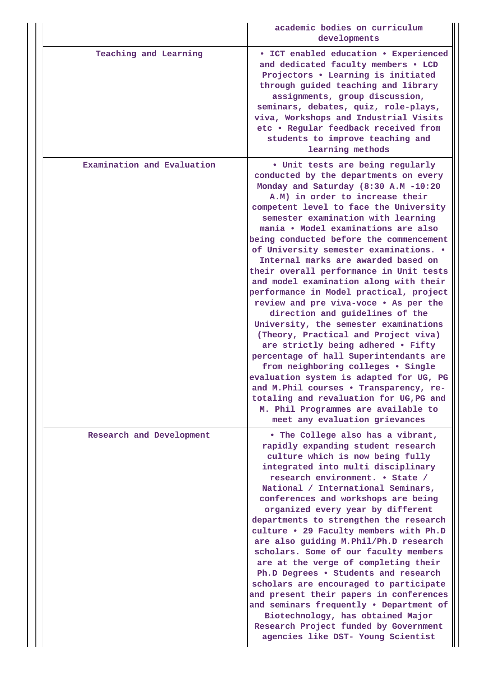|                            | academic bodies on curriculum<br>developments                                                                                                                                                                                                                                                                                                                                                                                                                                                                                                                                                                                                                                                                                                                                                                                                                                                                                                                                                                                       |
|----------------------------|-------------------------------------------------------------------------------------------------------------------------------------------------------------------------------------------------------------------------------------------------------------------------------------------------------------------------------------------------------------------------------------------------------------------------------------------------------------------------------------------------------------------------------------------------------------------------------------------------------------------------------------------------------------------------------------------------------------------------------------------------------------------------------------------------------------------------------------------------------------------------------------------------------------------------------------------------------------------------------------------------------------------------------------|
| Teaching and Learning      | • ICT enabled education • Experienced<br>and dedicated faculty members . LCD<br>Projectors . Learning is initiated<br>through guided teaching and library<br>assignments, group discussion,<br>seminars, debates, quiz, role-plays,<br>viva, Workshops and Industrial Visits<br>etc . Regular feedback received from<br>students to improve teaching and<br>learning methods                                                                                                                                                                                                                                                                                                                                                                                                                                                                                                                                                                                                                                                        |
| Examination and Evaluation | . Unit tests are being regularly<br>conducted by the departments on every<br>Monday and Saturday (8:30 A.M -10:20<br>A.M) in order to increase their<br>competent level to face the University<br>semester examination with learning<br>mania • Model examinations are also<br>being conducted before the commencement<br>of University semester examinations. .<br>Internal marks are awarded based on<br>their overall performance in Unit tests<br>and model examination along with their<br>performance in Model practical, project<br>review and pre viva-voce . As per the<br>direction and guidelines of the<br>University, the semester examinations<br>(Theory, Practical and Project viva)<br>are strictly being adhered . Fifty<br>percentage of hall Superintendants are<br>from neighboring colleges . Single<br>evaluation system is adapted for UG, PG<br>and M.Phil courses . Transparency, re-<br>totaling and revaluation for UG, PG and<br>M. Phil Programmes are available to<br>meet any evaluation grievances |
| Research and Development   | . The College also has a vibrant,<br>rapidly expanding student research<br>culture which is now being fully<br>integrated into multi disciplinary<br>research environment. • State /<br>National / International Seminars,<br>conferences and workshops are being<br>organized every year by different<br>departments to strengthen the research<br>culture . 29 Faculty members with Ph.D<br>are also guiding M. Phil/Ph.D research<br>scholars. Some of our faculty members<br>are at the verge of completing their<br>Ph.D Degrees . Students and research<br>scholars are encouraged to participate<br>and present their papers in conferences<br>and seminars frequently . Department of<br>Biotechnology, has obtained Major<br>Research Project funded by Government<br>agencies like DST- Young Scientist                                                                                                                                                                                                                   |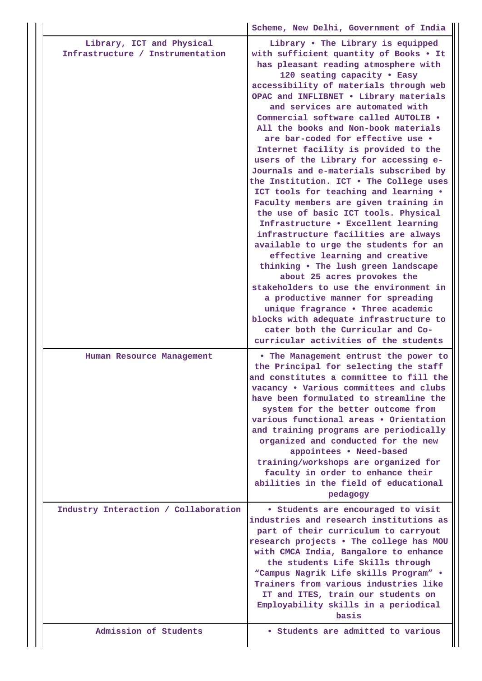|                                                               | Scheme, New Delhi, Government of India                                                                                                                                                                                                                                                                                                                                                                                                                                                                                                                                                                                                                                                                                                                                                                                                                                                                                                                                                                                                                                                                                             |
|---------------------------------------------------------------|------------------------------------------------------------------------------------------------------------------------------------------------------------------------------------------------------------------------------------------------------------------------------------------------------------------------------------------------------------------------------------------------------------------------------------------------------------------------------------------------------------------------------------------------------------------------------------------------------------------------------------------------------------------------------------------------------------------------------------------------------------------------------------------------------------------------------------------------------------------------------------------------------------------------------------------------------------------------------------------------------------------------------------------------------------------------------------------------------------------------------------|
| Library, ICT and Physical<br>Infrastructure / Instrumentation | Library . The Library is equipped<br>with sufficient quantity of Books . It<br>has pleasant reading atmosphere with<br>120 seating capacity . Easy<br>accessibility of materials through web<br>OPAC and INFLIBNET . Library materials<br>and services are automated with<br>Commercial software called AUTOLIB .<br>All the books and Non-book materials<br>are bar-coded for effective use .<br>Internet facility is provided to the<br>users of the Library for accessing e-<br>Journals and e-materials subscribed by<br>the Institution. ICT . The College uses<br>ICT tools for teaching and learning .<br>Faculty members are given training in<br>the use of basic ICT tools. Physical<br>Infrastructure . Excellent learning<br>infrastructure facilities are always<br>available to urge the students for an<br>effective learning and creative<br>thinking . The lush green landscape<br>about 25 acres provokes the<br>stakeholders to use the environment in<br>a productive manner for spreading<br>unique fragrance . Three academic<br>blocks with adequate infrastructure to<br>cater both the Curricular and Co- |
| Human Resource Management                                     | curricular activities of the students<br>. The Management entrust the power to<br>the Principal for selecting the staff<br>and constitutes a committee to fill the<br>vacancy . Various committees and clubs<br>have been formulated to streamline the<br>system for the better outcome from<br>various functional areas . Orientation<br>and training programs are periodically<br>organized and conducted for the new<br>appointees . Need-based<br>training/workshops are organized for<br>faculty in order to enhance their<br>abilities in the field of educational<br>pedagogy                                                                                                                                                                                                                                                                                                                                                                                                                                                                                                                                               |
| Industry Interaction / Collaboration                          | • Students are encouraged to visit<br>industries and research institutions as<br>part of their curriculum to carryout<br>research projects . The college has MOU<br>with CMCA India, Bangalore to enhance<br>the students Life Skills through<br>"Campus Nagrik Life skills Program" .<br>Trainers from various industries like<br>IT and ITES, train our students on<br>Employability skills in a periodical<br>basis                                                                                                                                                                                                                                                                                                                                                                                                                                                                                                                                                                                                                                                                                                             |
| Admission of Students                                         | • Students are admitted to various                                                                                                                                                                                                                                                                                                                                                                                                                                                                                                                                                                                                                                                                                                                                                                                                                                                                                                                                                                                                                                                                                                 |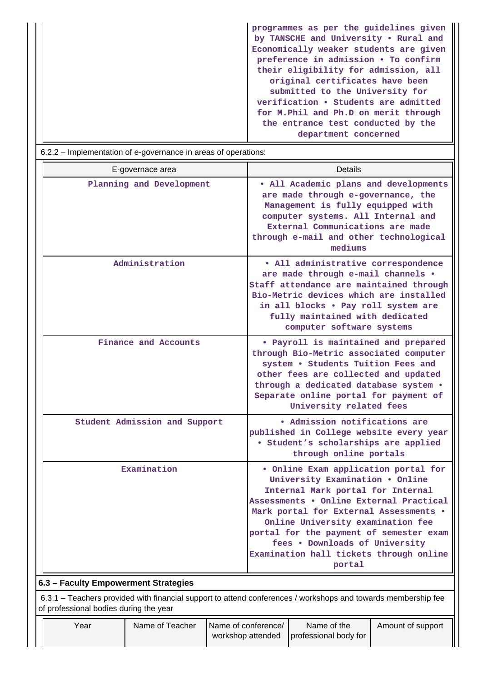|                                                                | by TANSCHE and University . Rural and  |
|----------------------------------------------------------------|----------------------------------------|
|                                                                | Economically weaker students are given |
|                                                                | preference in admission • To confirm   |
|                                                                | their eligibility for admission, all   |
|                                                                | original certificates have been        |
|                                                                | submitted to the University for        |
|                                                                | verification • Students are admitted   |
|                                                                | for M.Phil and Ph.D on merit through   |
|                                                                | the entrance test conducted by the     |
|                                                                | department concerned                   |
| 6.2.2 – Implementation of e-governance in areas of operations: |                                        |

|                                                                                                                                                         | E-governace area              |                     | Details                                                                                                                                                                                                                                                                                                                                                                  |                                                                                                                                                                                                                                                                           |                   |  |  |  |
|---------------------------------------------------------------------------------------------------------------------------------------------------------|-------------------------------|---------------------|--------------------------------------------------------------------------------------------------------------------------------------------------------------------------------------------------------------------------------------------------------------------------------------------------------------------------------------------------------------------------|---------------------------------------------------------------------------------------------------------------------------------------------------------------------------------------------------------------------------------------------------------------------------|-------------------|--|--|--|
|                                                                                                                                                         | Planning and Development      |                     | . All Academic plans and developments<br>are made through e-governance, the<br>Management is fully equipped with<br>computer systems. All Internal and<br>External Communications are made<br>through e-mail and other technological<br>mediums                                                                                                                          |                                                                                                                                                                                                                                                                           |                   |  |  |  |
|                                                                                                                                                         | Administration                |                     |                                                                                                                                                                                                                                                                                                                                                                          | · All administrative correspondence<br>are made through e-mail channels .<br>Staff attendance are maintained through<br>Bio-Metric devices which are installed<br>in all blocks . Pay roll system are<br>fully maintained with dedicated<br>computer software systems     |                   |  |  |  |
|                                                                                                                                                         | Finance and Accounts          |                     |                                                                                                                                                                                                                                                                                                                                                                          | • Payroll is maintained and prepared<br>through Bio-Metric associated computer<br>system . Students Tuition Fees and<br>other fees are collected and updated<br>through a dedicated database system .<br>Separate online portal for payment of<br>University related fees |                   |  |  |  |
|                                                                                                                                                         | Student Admission and Support |                     | . Admission notifications are<br>published in College website every year<br>· Student's scholarships are applied<br>through online portals                                                                                                                                                                                                                               |                                                                                                                                                                                                                                                                           |                   |  |  |  |
| Examination                                                                                                                                             |                               |                     | . Online Exam application portal for<br>University Examination . Online<br>Internal Mark portal for Internal<br>Assessments . Online External Practical<br>Mark portal for External Assessments .<br>Online University examination fee<br>portal for the payment of semester exam<br>fees . Downloads of University<br>Examination hall tickets through online<br>portal |                                                                                                                                                                                                                                                                           |                   |  |  |  |
| 6.3 - Faculty Empowerment Strategies                                                                                                                    |                               |                     |                                                                                                                                                                                                                                                                                                                                                                          |                                                                                                                                                                                                                                                                           |                   |  |  |  |
| 6.3.1 – Teachers provided with financial support to attend conferences / workshops and towards membership fee<br>of professional bodies during the year |                               |                     |                                                                                                                                                                                                                                                                                                                                                                          |                                                                                                                                                                                                                                                                           |                   |  |  |  |
| Year                                                                                                                                                    | Name of Teacher               | Name of conference/ | workshop attended                                                                                                                                                                                                                                                                                                                                                        | Name of the<br>professional body for                                                                                                                                                                                                                                      | Amount of support |  |  |  |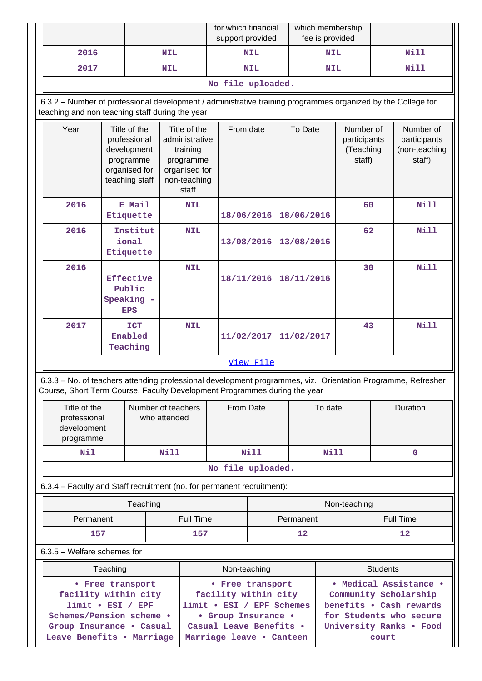|                   |            | for which financial<br>support provided | which membership<br>fee is provided |             |  |  |
|-------------------|------------|-----------------------------------------|-------------------------------------|-------------|--|--|
| 2016              | <b>NIL</b> | NIL                                     | <b>NIL</b>                          | <b>Nill</b> |  |  |
| 2017              | <b>NIL</b> | <b>NIL</b>                              | <b>NIL</b>                          | <b>Nill</b> |  |  |
| No file uploaded. |            |                                         |                                     |             |  |  |

 6.3.2 – Number of professional development / administrative training programmes organized by the College for teaching and non teaching staff during the year

| Year         | Title of the<br>professional<br>development<br>programme<br>organised for<br>teaching staff | Title of the<br>administrative<br>training<br>programme<br>organised for<br>non-teaching<br>staff | From date                                                                                                                                                                                  | To Date    | Number of<br>participants<br>(Teaching<br>staff) | Number of<br>participants<br>(non-teaching<br>staff) |
|--------------|---------------------------------------------------------------------------------------------|---------------------------------------------------------------------------------------------------|--------------------------------------------------------------------------------------------------------------------------------------------------------------------------------------------|------------|--------------------------------------------------|------------------------------------------------------|
| 2016         | E Mail<br>Etiquette                                                                         | <b>NIL</b>                                                                                        | 18/06/2016                                                                                                                                                                                 | 18/06/2016 | 60                                               | Nill                                                 |
| 2016         | Institut<br>ional<br>Etiquette                                                              | <b>NIL</b>                                                                                        | 13/08/2016                                                                                                                                                                                 | 13/08/2016 | 62                                               | Nill                                                 |
| 2016         | Effective<br>Public<br>Speaking -<br><b>EPS</b>                                             | <b>NIL</b>                                                                                        | 18/11/2016                                                                                                                                                                                 | 18/11/2016 | 30                                               | Nill                                                 |
| 2017         | <b>ICT</b><br>Enabled<br>Teaching                                                           | <b>NIL</b>                                                                                        | 11/02/2017                                                                                                                                                                                 | 11/02/2017 | 43                                               | Nill                                                 |
|              |                                                                                             |                                                                                                   | View File                                                                                                                                                                                  |            |                                                  |                                                      |
|              |                                                                                             |                                                                                                   | 6.3.3 - No. of teachers attending professional development programmes, viz., Orientation Programme, Refresher<br>Course, Short Term Course, Faculty Development Programmes during the year |            |                                                  |                                                      |
| Title of the |                                                                                             | Number of teachers                                                                                | From Date                                                                                                                                                                                  | To date    |                                                  | Duration                                             |

| Title of the<br>professional<br>development<br>programme | Number of teachers<br>who attended | From Date | To date | Duration |  |  |  |  |  |
|----------------------------------------------------------|------------------------------------|-----------|---------|----------|--|--|--|--|--|
| Nil                                                      | Nill                               | Nill      | Nill    |          |  |  |  |  |  |
|                                                          | No file uploaded.                  |           |         |          |  |  |  |  |  |

6.3.4 – Faculty and Staff recruitment (no. for permanent recruitment):

|           | Teaching  | Non-teaching |           |  |  |
|-----------|-----------|--------------|-----------|--|--|
| Permanent | Full Time | Permanent    | Full Time |  |  |
| 157       | 157       | 12           | 12        |  |  |

6.3.5 – Welfare schemes for

| Teaching                  | Non-teaching              | <b>Students</b>         |
|---------------------------|---------------------------|-------------------------|
| • Free transport          | • Free transport          | • Medical Assistance •  |
| facility within city      | facility within city      | Community Scholarship   |
| $limit \cdot ESI / EPF$   | limit . ESI / EPF Schemes | benefits . Cash rewards |
| Schemes/Pension scheme .  | • Group Insurance •       | for Students who secure |
| Group Insurance . Casual  | Casual Leave Benefits .   | University Ranks . Food |
| Leave Benefits . Marriage | Marriage leave . Canteen  | court                   |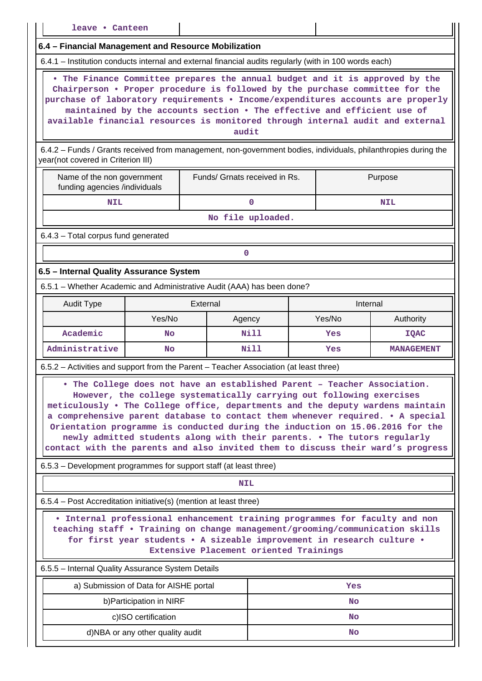| leave • Canteen                                                                                                                                                                                                                                                                                                                                                                                                                                                                                                                                                     |                                                      |                               |                   |  |          |                   |  |  |
|---------------------------------------------------------------------------------------------------------------------------------------------------------------------------------------------------------------------------------------------------------------------------------------------------------------------------------------------------------------------------------------------------------------------------------------------------------------------------------------------------------------------------------------------------------------------|------------------------------------------------------|-------------------------------|-------------------|--|----------|-------------------|--|--|
|                                                                                                                                                                                                                                                                                                                                                                                                                                                                                                                                                                     | 6.4 - Financial Management and Resource Mobilization |                               |                   |  |          |                   |  |  |
| 6.4.1 – Institution conducts internal and external financial audits regularly (with in 100 words each)                                                                                                                                                                                                                                                                                                                                                                                                                                                              |                                                      |                               |                   |  |          |                   |  |  |
| . The Finance Committee prepares the annual budget and it is approved by the<br>Chairperson . Proper procedure is followed by the purchase committee for the<br>purchase of laboratory requirements . Income/expenditures accounts are properly<br>maintained by the accounts section . The effective and efficient use of<br>available financial resources is monitored through internal audit and external<br>audit                                                                                                                                               |                                                      |                               |                   |  |          |                   |  |  |
| 6.4.2 - Funds / Grants received from management, non-government bodies, individuals, philanthropies during the<br>year(not covered in Criterion III)                                                                                                                                                                                                                                                                                                                                                                                                                |                                                      |                               |                   |  |          |                   |  |  |
| Name of the non government<br>funding agencies /individuals                                                                                                                                                                                                                                                                                                                                                                                                                                                                                                         |                                                      | Funds/ Grnats received in Rs. |                   |  |          | Purpose           |  |  |
| <b>NIL</b>                                                                                                                                                                                                                                                                                                                                                                                                                                                                                                                                                          |                                                      |                               | $\mathbf 0$       |  |          | <b>NIL</b>        |  |  |
|                                                                                                                                                                                                                                                                                                                                                                                                                                                                                                                                                                     |                                                      |                               | No file uploaded. |  |          |                   |  |  |
| 6.4.3 - Total corpus fund generated                                                                                                                                                                                                                                                                                                                                                                                                                                                                                                                                 |                                                      |                               |                   |  |          |                   |  |  |
|                                                                                                                                                                                                                                                                                                                                                                                                                                                                                                                                                                     |                                                      | 0                             |                   |  |          |                   |  |  |
| 6.5 - Internal Quality Assurance System                                                                                                                                                                                                                                                                                                                                                                                                                                                                                                                             |                                                      |                               |                   |  |          |                   |  |  |
| 6.5.1 - Whether Academic and Administrative Audit (AAA) has been done?                                                                                                                                                                                                                                                                                                                                                                                                                                                                                              |                                                      |                               |                   |  |          |                   |  |  |
| <b>Audit Type</b>                                                                                                                                                                                                                                                                                                                                                                                                                                                                                                                                                   |                                                      | External                      |                   |  | Internal |                   |  |  |
|                                                                                                                                                                                                                                                                                                                                                                                                                                                                                                                                                                     | Yes/No                                               | Agency                        |                   |  | Yes/No   | Authority         |  |  |
| Academic                                                                                                                                                                                                                                                                                                                                                                                                                                                                                                                                                            | No                                                   |                               | <b>Nill</b>       |  | Yes      | <b>IQAC</b>       |  |  |
| Administrative                                                                                                                                                                                                                                                                                                                                                                                                                                                                                                                                                      | No                                                   |                               | <b>Nill</b>       |  | Yes      | <b>MANAGEMENT</b> |  |  |
| 6.5.2 - Activities and support from the Parent - Teacher Association (at least three)                                                                                                                                                                                                                                                                                                                                                                                                                                                                               |                                                      |                               |                   |  |          |                   |  |  |
| . The College does not have an established Parent - Teacher Association<br>However, the college systematically carrying out following exercises<br>meticulously . The College office, departments and the deputy wardens maintain<br>a comprehensive parent database to contact them whenever required. . A special<br>Orientation programme is conducted during the induction on 15.06.2016 for the<br>newly admitted students along with their parents. . The tutors regularly<br>contact with the parents and also invited them to discuss their ward's progress |                                                      |                               |                   |  |          |                   |  |  |
| 6.5.3 – Development programmes for support staff (at least three)                                                                                                                                                                                                                                                                                                                                                                                                                                                                                                   |                                                      |                               |                   |  |          |                   |  |  |
|                                                                                                                                                                                                                                                                                                                                                                                                                                                                                                                                                                     |                                                      | <b>NIL</b>                    |                   |  |          |                   |  |  |
| 6.5.4 - Post Accreditation initiative(s) (mention at least three)                                                                                                                                                                                                                                                                                                                                                                                                                                                                                                   |                                                      |                               |                   |  |          |                   |  |  |
| . Internal professional enhancement training programmes for faculty and non<br>teaching staff . Training on change management/grooming/communication skills<br>for first year students . A sizeable improvement in research culture .<br>Extensive Placement oriented Trainings                                                                                                                                                                                                                                                                                     |                                                      |                               |                   |  |          |                   |  |  |
|                                                                                                                                                                                                                                                                                                                                                                                                                                                                                                                                                                     | 6.5.5 - Internal Quality Assurance System Details    |                               |                   |  |          |                   |  |  |
|                                                                                                                                                                                                                                                                                                                                                                                                                                                                                                                                                                     | a) Submission of Data for AISHE portal<br>Yes        |                               |                   |  |          |                   |  |  |
|                                                                                                                                                                                                                                                                                                                                                                                                                                                                                                                                                                     | b) Participation in NIRF                             |                               |                   |  | No       |                   |  |  |
|                                                                                                                                                                                                                                                                                                                                                                                                                                                                                                                                                                     | c)ISO certification                                  |                               |                   |  | No       |                   |  |  |
|                                                                                                                                                                                                                                                                                                                                                                                                                                                                                                                                                                     | d)NBA or any other quality audit                     |                               |                   |  | No       |                   |  |  |
|                                                                                                                                                                                                                                                                                                                                                                                                                                                                                                                                                                     |                                                      |                               |                   |  |          |                   |  |  |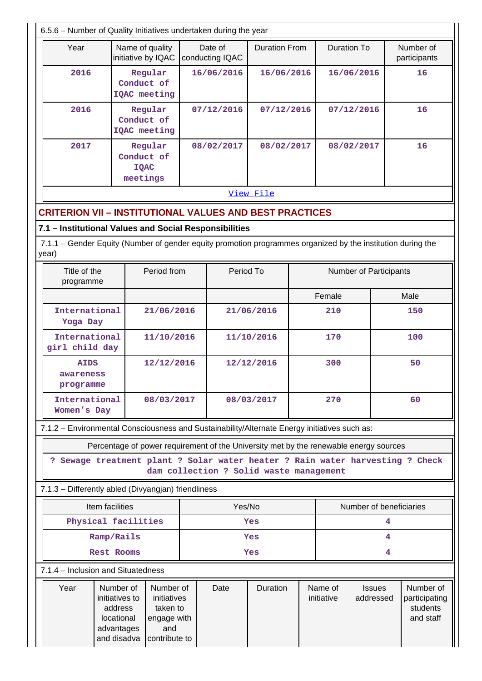|                                                                                                                      | 6.5.6 - Number of Quality Initiatives undertaken during the year                                                                                                 |           |                                         |                      |  |                       |                            |                  |                                                     |  |
|----------------------------------------------------------------------------------------------------------------------|------------------------------------------------------------------------------------------------------------------------------------------------------------------|-----------|-----------------------------------------|----------------------|--|-----------------------|----------------------------|------------------|-----------------------------------------------------|--|
| Year                                                                                                                 | Name of quality<br>initiative by IQAC                                                                                                                            |           | Date of<br>conducting IQAC              | <b>Duration From</b> |  | <b>Duration To</b>    |                            |                  | Number of<br>participants                           |  |
| 2016                                                                                                                 | Regular<br>Conduct of<br>IQAC meeting                                                                                                                            |           | 16/06/2016                              | 16/06/2016           |  |                       |                            | 16/06/2016<br>16 |                                                     |  |
| 2016                                                                                                                 | Regular<br>Conduct of<br>IQAC meeting                                                                                                                            |           | 07/12/2016                              | 07/12/2016           |  | 07/12/2016            |                            |                  | 16                                                  |  |
| 2017                                                                                                                 | Regular<br>Conduct of<br><b>IQAC</b><br>meetings                                                                                                                 |           | 08/02/2017                              | 08/02/2017           |  | 08/02/2017            |                            | 16               |                                                     |  |
|                                                                                                                      |                                                                                                                                                                  | View File |                                         |                      |  |                       |                            |                  |                                                     |  |
| <b>CRITERION VII - INSTITUTIONAL VALUES AND BEST PRACTICES</b>                                                       |                                                                                                                                                                  |           |                                         |                      |  |                       |                            |                  |                                                     |  |
| 7.1 - Institutional Values and Social Responsibilities                                                               |                                                                                                                                                                  |           |                                         |                      |  |                       |                            |                  |                                                     |  |
| 7.1.1 – Gender Equity (Number of gender equity promotion programmes organized by the institution during the<br>year) |                                                                                                                                                                  |           |                                         |                      |  |                       |                            |                  |                                                     |  |
| Title of the<br>programme                                                                                            | Period from                                                                                                                                                      |           | Period To                               |                      |  |                       | Number of Participants     |                  |                                                     |  |
|                                                                                                                      |                                                                                                                                                                  |           |                                         |                      |  | Female                |                            |                  | Male                                                |  |
| International<br>Yoga Day                                                                                            | 21/06/2016                                                                                                                                                       |           |                                         | 21/06/2016           |  | 210                   |                            |                  | 150                                                 |  |
| International<br>girl child day                                                                                      | 11/10/2016                                                                                                                                                       |           |                                         | 11/10/2016           |  | 170                   |                            | 100              |                                                     |  |
| <b>AIDS</b><br>awareness<br>programme                                                                                | 12/12/2016                                                                                                                                                       |           |                                         | 12/12/2016           |  | 300                   |                            |                  | 50                                                  |  |
| International<br>Women's Day                                                                                         | 08/03/2017                                                                                                                                                       |           |                                         | 08/03/2017           |  | 270                   |                            |                  | 60                                                  |  |
| 7.1.2 - Environmental Consciousness and Sustainability/Alternate Energy initiatives such as:                         |                                                                                                                                                                  |           |                                         |                      |  |                       |                            |                  |                                                     |  |
|                                                                                                                      | Percentage of power requirement of the University met by the renewable energy sources                                                                            |           |                                         |                      |  |                       |                            |                  |                                                     |  |
|                                                                                                                      | ? Sewage treatment plant ? Solar water heater ? Rain water harvesting ? Check                                                                                    |           | dam collection ? Solid waste management |                      |  |                       |                            |                  |                                                     |  |
| 7.1.3 - Differently abled (Divyangjan) friendliness                                                                  |                                                                                                                                                                  |           |                                         |                      |  |                       |                            |                  |                                                     |  |
| Item facilities                                                                                                      |                                                                                                                                                                  |           | Yes/No                                  |                      |  |                       | Number of beneficiaries    |                  |                                                     |  |
|                                                                                                                      | Physical facilities                                                                                                                                              |           |                                         | Yes                  |  |                       |                            | 4                |                                                     |  |
|                                                                                                                      | Ramp/Rails                                                                                                                                                       |           |                                         | Yes                  |  |                       |                            | 4                |                                                     |  |
|                                                                                                                      | <b>Rest Rooms</b>                                                                                                                                                |           |                                         | Yes                  |  |                       |                            | 4                |                                                     |  |
| 7.1.4 - Inclusion and Situatedness                                                                                   |                                                                                                                                                                  |           |                                         |                      |  |                       |                            |                  |                                                     |  |
| Year                                                                                                                 | Number of<br>Number of<br>initiatives to<br>initiatives<br>address<br>taken to<br>locational<br>engage with<br>advantages<br>and<br>and disadva<br>contribute to |           |                                         | Duration             |  | Name of<br>initiative | <b>Issues</b><br>addressed |                  | Number of<br>participating<br>students<br>and staff |  |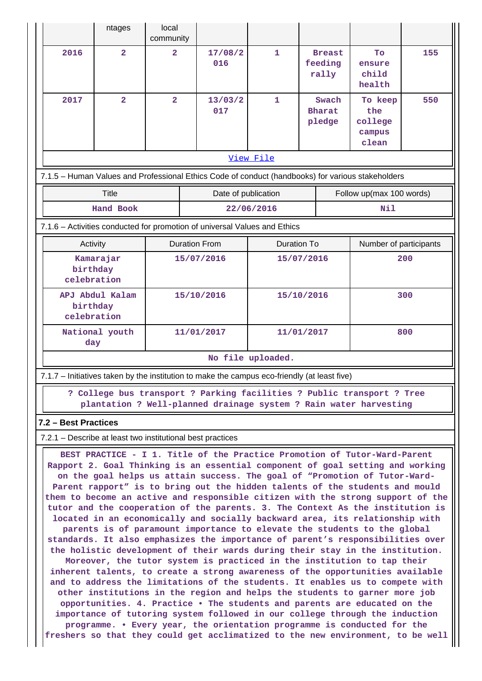|                                                                                                                                                                                                                                                                                                                                                                                                                                                                                                                                                                                                                                                                                                                                                                                                                                                                                                                                                                                                                                                                                                                                                                                                                                                                                                                                                                                                                                                                                    | ntages                  | local<br>community                 |                     |                                  |             |                                   |     |                                              |     |
|------------------------------------------------------------------------------------------------------------------------------------------------------------------------------------------------------------------------------------------------------------------------------------------------------------------------------------------------------------------------------------------------------------------------------------------------------------------------------------------------------------------------------------------------------------------------------------------------------------------------------------------------------------------------------------------------------------------------------------------------------------------------------------------------------------------------------------------------------------------------------------------------------------------------------------------------------------------------------------------------------------------------------------------------------------------------------------------------------------------------------------------------------------------------------------------------------------------------------------------------------------------------------------------------------------------------------------------------------------------------------------------------------------------------------------------------------------------------------------|-------------------------|------------------------------------|---------------------|----------------------------------|-------------|-----------------------------------|-----|----------------------------------------------|-----|
| 2016                                                                                                                                                                                                                                                                                                                                                                                                                                                                                                                                                                                                                                                                                                                                                                                                                                                                                                                                                                                                                                                                                                                                                                                                                                                                                                                                                                                                                                                                               | $\overline{\mathbf{2}}$ | $\overline{\mathbf{2}}$            |                     | 17/08/2<br>016                   | $\mathbf 1$ | <b>Breast</b><br>feeding<br>rally |     | To<br>ensure<br>child<br>health              | 155 |
| 2017                                                                                                                                                                                                                                                                                                                                                                                                                                                                                                                                                                                                                                                                                                                                                                                                                                                                                                                                                                                                                                                                                                                                                                                                                                                                                                                                                                                                                                                                               | $\overline{\mathbf{2}}$ | $\overline{\mathbf{2}}$            |                     | 13/03/2<br>017                   | 1           | Swach<br><b>Bharat</b><br>pledge  |     | To keep<br>the<br>college<br>campus<br>clean | 550 |
| View File                                                                                                                                                                                                                                                                                                                                                                                                                                                                                                                                                                                                                                                                                                                                                                                                                                                                                                                                                                                                                                                                                                                                                                                                                                                                                                                                                                                                                                                                          |                         |                                    |                     |                                  |             |                                   |     |                                              |     |
| 7.1.5 - Human Values and Professional Ethics Code of conduct (handbooks) for various stakeholders                                                                                                                                                                                                                                                                                                                                                                                                                                                                                                                                                                                                                                                                                                                                                                                                                                                                                                                                                                                                                                                                                                                                                                                                                                                                                                                                                                                  |                         |                                    |                     |                                  |             |                                   |     |                                              |     |
|                                                                                                                                                                                                                                                                                                                                                                                                                                                                                                                                                                                                                                                                                                                                                                                                                                                                                                                                                                                                                                                                                                                                                                                                                                                                                                                                                                                                                                                                                    |                         |                                    | Date of publication |                                  |             | Follow up(max 100 words)          |     |                                              |     |
| Hand Book<br>22/06/2016<br>Nil                                                                                                                                                                                                                                                                                                                                                                                                                                                                                                                                                                                                                                                                                                                                                                                                                                                                                                                                                                                                                                                                                                                                                                                                                                                                                                                                                                                                                                                     |                         |                                    |                     |                                  |             |                                   |     |                                              |     |
| 7.1.6 - Activities conducted for promotion of universal Values and Ethics                                                                                                                                                                                                                                                                                                                                                                                                                                                                                                                                                                                                                                                                                                                                                                                                                                                                                                                                                                                                                                                                                                                                                                                                                                                                                                                                                                                                          |                         |                                    |                     |                                  |             |                                   |     |                                              |     |
| Activity<br>Kamarajar<br>birthday<br>celebration                                                                                                                                                                                                                                                                                                                                                                                                                                                                                                                                                                                                                                                                                                                                                                                                                                                                                                                                                                                                                                                                                                                                                                                                                                                                                                                                                                                                                                   |                         | <b>Duration From</b><br>15/07/2016 |                     | <b>Duration To</b><br>15/07/2016 |             | Number of participants<br>200     |     |                                              |     |
| APJ Abdul Kalam<br>birthday<br>celebration                                                                                                                                                                                                                                                                                                                                                                                                                                                                                                                                                                                                                                                                                                                                                                                                                                                                                                                                                                                                                                                                                                                                                                                                                                                                                                                                                                                                                                         |                         | 15/10/2016                         |                     |                                  | 15/10/2016  |                                   | 300 |                                              |     |
| National youth<br>day                                                                                                                                                                                                                                                                                                                                                                                                                                                                                                                                                                                                                                                                                                                                                                                                                                                                                                                                                                                                                                                                                                                                                                                                                                                                                                                                                                                                                                                              |                         | 11/01/2017                         |                     | 11/01/2017                       |             | 800                               |     |                                              |     |
| No file uploaded.                                                                                                                                                                                                                                                                                                                                                                                                                                                                                                                                                                                                                                                                                                                                                                                                                                                                                                                                                                                                                                                                                                                                                                                                                                                                                                                                                                                                                                                                  |                         |                                    |                     |                                  |             |                                   |     |                                              |     |
| 7.1.7 - Initiatives taken by the institution to make the campus eco-friendly (at least five)                                                                                                                                                                                                                                                                                                                                                                                                                                                                                                                                                                                                                                                                                                                                                                                                                                                                                                                                                                                                                                                                                                                                                                                                                                                                                                                                                                                       |                         |                                    |                     |                                  |             |                                   |     |                                              |     |
| ? College bus transport ? Parking facilities ? Public transport ? Tree<br>plantation ? Well-planned drainage system ? Rain water harvesting                                                                                                                                                                                                                                                                                                                                                                                                                                                                                                                                                                                                                                                                                                                                                                                                                                                                                                                                                                                                                                                                                                                                                                                                                                                                                                                                        |                         |                                    |                     |                                  |             |                                   |     |                                              |     |
| 7.2 - Best Practices                                                                                                                                                                                                                                                                                                                                                                                                                                                                                                                                                                                                                                                                                                                                                                                                                                                                                                                                                                                                                                                                                                                                                                                                                                                                                                                                                                                                                                                               |                         |                                    |                     |                                  |             |                                   |     |                                              |     |
| 7.2.1 – Describe at least two institutional best practices                                                                                                                                                                                                                                                                                                                                                                                                                                                                                                                                                                                                                                                                                                                                                                                                                                                                                                                                                                                                                                                                                                                                                                                                                                                                                                                                                                                                                         |                         |                                    |                     |                                  |             |                                   |     |                                              |     |
| BEST PRACTICE - I 1. Title of the Practice Promotion of Tutor-Ward-Parent<br>Rapport 2. Goal Thinking is an essential component of goal setting and working<br>on the goal helps us attain success. The goal of "Promotion of Tutor-Ward-<br>Parent rapport" is to bring out the hidden talents of the students and mould<br>them to become an active and responsible citizen with the strong support of the<br>tutor and the cooperation of the parents. 3. The Context As the institution is<br>located in an economically and socially backward area, its relationship with<br>parents is of paramount importance to elevate the students to the global<br>standards. It also emphasizes the importance of parent's responsibilities over<br>the holistic development of their wards during their stay in the institution.<br>Moreover, the tutor system is practiced in the institution to tap their<br>inherent talents, to create a strong awareness of the opportunities available<br>and to address the limitations of the students. It enables us to compete with<br>other institutions in the region and helps the students to garner more job<br>opportunities. 4. Practice . The students and parents are educated on the<br>importance of tutoring system followed in our college through the induction<br>programme. • Every year, the orientation programme is conducted for the<br>freshers so that they could get acclimatized to the new environment, to be well |                         |                                    |                     |                                  |             |                                   |     |                                              |     |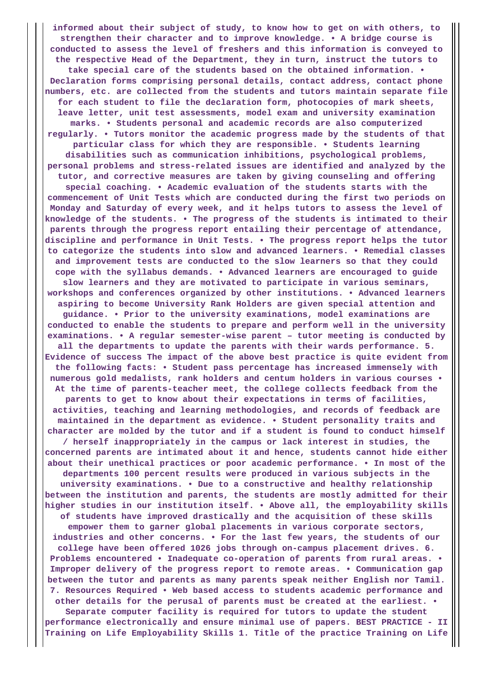**informed about their subject of study, to know how to get on with others, to strengthen their character and to improve knowledge. • A bridge course is conducted to assess the level of freshers and this information is conveyed to the respective Head of the Department, they in turn, instruct the tutors to take special care of the students based on the obtained information. • Declaration forms comprising personal details, contact address, contact phone numbers, etc. are collected from the students and tutors maintain separate file for each student to file the declaration form, photocopies of mark sheets, leave letter, unit test assessments, model exam and university examination marks. • Students personal and academic records are also computerized regularly. • Tutors monitor the academic progress made by the students of that particular class for which they are responsible. • Students learning disabilities such as communication inhibitions, psychological problems, personal problems and stress-related issues are identified and analyzed by the tutor, and corrective measures are taken by giving counseling and offering special coaching. • Academic evaluation of the students starts with the commencement of Unit Tests which are conducted during the first two periods on Monday and Saturday of every week, and it helps tutors to assess the level of knowledge of the students. • The progress of the students is intimated to their parents through the progress report entailing their percentage of attendance, discipline and performance in Unit Tests. • The progress report helps the tutor to categorize the students into slow and advanced learners. • Remedial classes and improvement tests are conducted to the slow learners so that they could cope with the syllabus demands. • Advanced learners are encouraged to guide slow learners and they are motivated to participate in various seminars, workshops and conferences organized by other institutions. • Advanced learners aspiring to become University Rank Holders are given special attention and guidance. • Prior to the university examinations, model examinations are conducted to enable the students to prepare and perform well in the university examinations. • A regular semester-wise parent – tutor meeting is conducted by all the departments to update the parents with their wards performance. 5. Evidence of success The impact of the above best practice is quite evident from the following facts: • Student pass percentage has increased immensely with numerous gold medalists, rank holders and centum holders in various courses • At the time of parents-teacher meet, the college collects feedback from the parents to get to know about their expectations in terms of facilities, activities, teaching and learning methodologies, and records of feedback are maintained in the department as evidence. • Student personality traits and character are molded by the tutor and if a student is found to conduct himself / herself inappropriately in the campus or lack interest in studies, the concerned parents are intimated about it and hence, students cannot hide either about their unethical practices or poor academic performance. • In most of the departments 100 percent results were produced in various subjects in the university examinations. • Due to a constructive and healthy relationship between the institution and parents, the students are mostly admitted for their higher studies in our institution itself. • Above all, the employability skills of students have improved drastically and the acquisition of these skills empower them to garner global placements in various corporate sectors, industries and other concerns. • For the last few years, the students of our college have been offered 1026 jobs through on-campus placement drives. 6. Problems encountered • Inadequate co-operation of parents from rural areas. • Improper delivery of the progress report to remote areas. • Communication gap between the tutor and parents as many parents speak neither English nor Tamil. 7. Resources Required • Web based access to students academic performance and other details for the perusal of parents must be created at the earliest. • Separate computer facility is required for tutors to update the student performance electronically and ensure minimal use of papers. BEST PRACTICE - II Training on Life Employability Skills 1. Title of the practice Training on Life**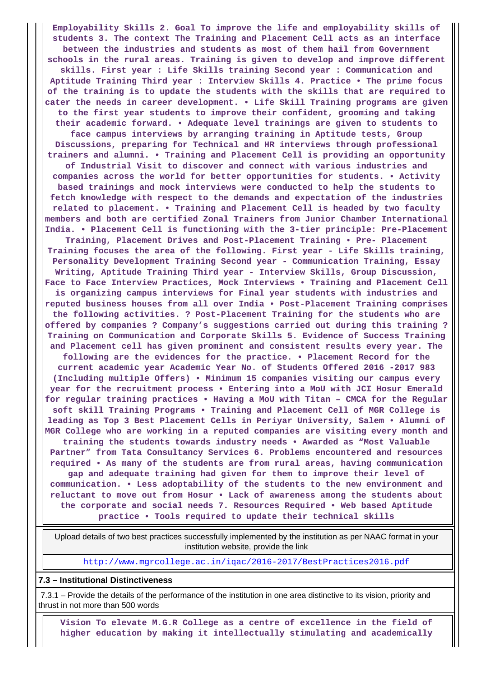**Employability Skills 2. Goal To improve the life and employability skills of students 3. The context The Training and Placement Cell acts as an interface between the industries and students as most of them hail from Government schools in the rural areas. Training is given to develop and improve different skills. First year : Life Skills training Second year : Communication and Aptitude Training Third year : Interview Skills 4. Practice • The prime focus of the training is to update the students with the skills that are required to cater the needs in career development. • Life Skill Training programs are given to the first year students to improve their confident, grooming and taking their academic forward. • Adequate level trainings are given to students to face campus interviews by arranging training in Aptitude tests, Group Discussions, preparing for Technical and HR interviews through professional trainers and alumni. • Training and Placement Cell is providing an opportunity of Industrial Visit to discover and connect with various industries and companies across the world for better opportunities for students. • Activity based trainings and mock interviews were conducted to help the students to fetch knowledge with respect to the demands and expectation of the industries related to placement. • Training and Placement Cell is headed by two faculty members and both are certified Zonal Trainers from Junior Chamber International India. • Placement Cell is functioning with the 3-tier principle: Pre-Placement Training, Placement Drives and Post-Placement Training • Pre- Placement Training focuses the area of the following. First year - Life Skills training, Personality Development Training Second year - Communication Training, Essay Writing, Aptitude Training Third year - Interview Skills, Group Discussion, Face to Face Interview Practices, Mock Interviews • Training and Placement Cell is organizing campus interviews for Final year students with industries and reputed business houses from all over India • Post-Placement Training comprises the following activities. ? Post-Placement Training for the students who are offered by companies ? Company's suggestions carried out during this training ? Training on Communication and Corporate Skills 5. Evidence of Success Training and Placement cell has given prominent and consistent results every year. The following are the evidences for the practice. • Placement Record for the current academic year Academic Year No. of Students Offered 2016 -2017 983 (Including multiple Offers) • Minimum 15 companies visiting our campus every year for the recruitment process • Entering into a MoU with JCI Hosur Emerald for regular training practices • Having a MoU with Titan – CMCA for the Regular soft skill Training Programs • Training and Placement Cell of MGR College is leading as Top 3 Best Placement Cells in Periyar University, Salem • Alumni of MGR College who are working in a reputed companies are visiting every month and training the students towards industry needs • Awarded as "Most Valuable Partner" from Tata Consultancy Services 6. Problems encountered and resources required • As many of the students are from rural areas, having communication gap and adequate training had given for them to improve their level of communication. • Less adoptability of the students to the new environment and reluctant to move out from Hosur • Lack of awareness among the students about the corporate and social needs 7. Resources Required • Web based Aptitude practice • Tools required to update their technical skills**

 Upload details of two best practices successfully implemented by the institution as per NAAC format in your institution website, provide the link

<http://www.mgrcollege.ac.in/iqac/2016-2017/BestPractices2016.pdf>

#### **7.3 – Institutional Distinctiveness**

 7.3.1 – Provide the details of the performance of the institution in one area distinctive to its vision, priority and thrust in not more than 500 words

 **Vision To elevate M.G.R College as a centre of excellence in the field of higher education by making it intellectually stimulating and academically**